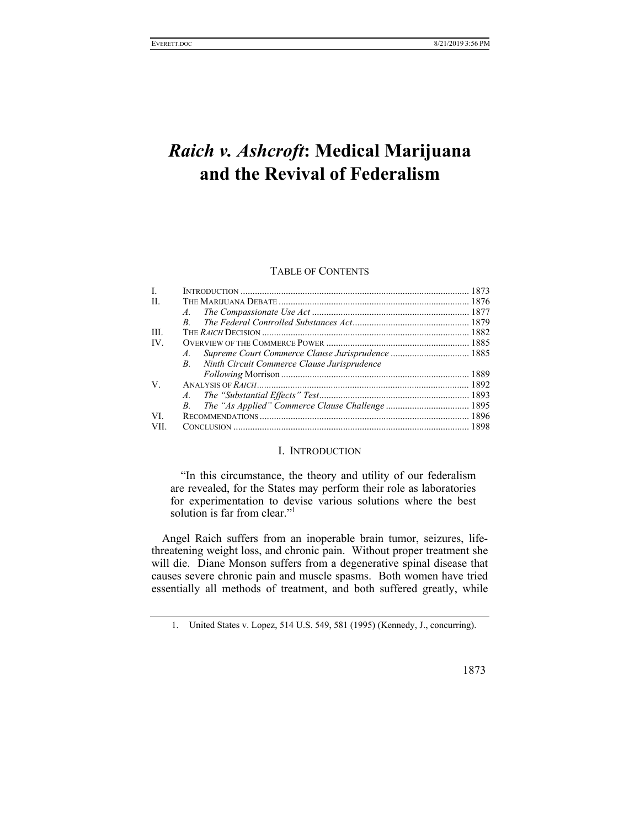# *Raich v. Ashcroft***: Medical Marijuana and the Revival of Federalism**

# TABLE OF CONTENTS

| $\mathbf{L}$ |                                                   |  |
|--------------|---------------------------------------------------|--|
| H.           |                                                   |  |
|              |                                                   |  |
|              | $\boldsymbol{B}$                                  |  |
| III.         |                                                   |  |
| IV.          |                                                   |  |
|              | $A_{\cdot}$                                       |  |
|              | Ninth Circuit Commerce Clause Jurisprudence<br>B. |  |
|              |                                                   |  |
| V.           |                                                   |  |
|              |                                                   |  |
|              |                                                   |  |
| VI.          |                                                   |  |
| VII.         |                                                   |  |

## I. INTRODUCTION

"In this circumstance, the theory and utility of our federalism are revealed, for the States may perform their role as laboratories for experimentation to devise various solutions where the best solution is far from clear."<sup>1</sup>

Angel Raich suffers from an inoperable brain tumor, seizures, lifethreatening weight loss, and chronic pain. Without proper treatment she will die. Diane Monson suffers from a degenerative spinal disease that causes severe chronic pain and muscle spasms. Both women have tried essentially all methods of treatment, and both suffered greatly, while

 <sup>1.</sup> United States v. Lopez, 514 U.S. 549, 581 (1995) (Kennedy, J., concurring).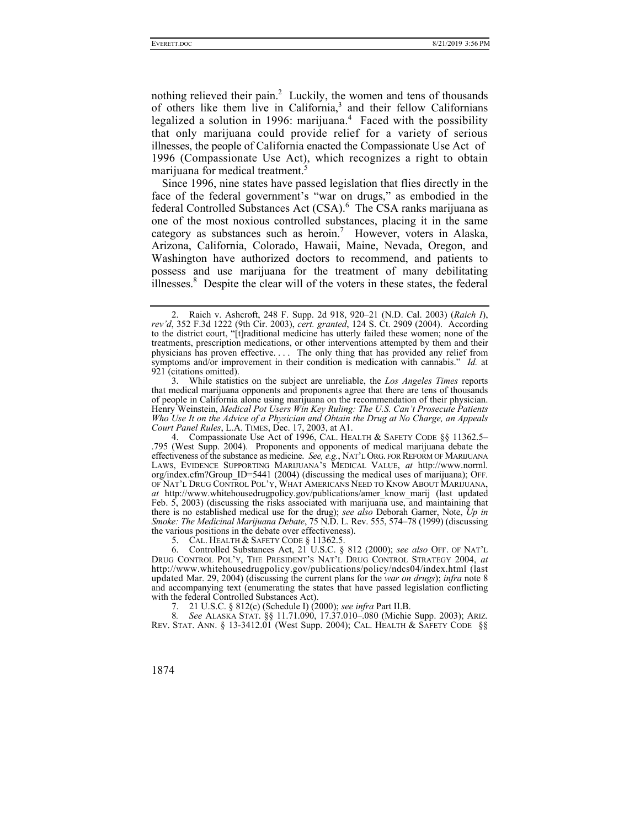nothing relieved their pain.<sup>2</sup> Luckily, the women and tens of thousands of others like them live in California,<sup>3</sup> and their fellow Californians legalized a solution in 1996: marijuana.<sup>4</sup> Faced with the possibility that only marijuana could provide relief for a variety of serious illnesses, the people of California enacted the Compassionate Use Act of 1996 (Compassionate Use Act), which recognizes a right to obtain marijuana for medical treatment.<sup>5</sup>

Since 1996, nine states have passed legislation that flies directly in the face of the federal government's "war on drugs," as embodied in the federal Controlled Substances Act (CSA).<sup>6</sup> The CSA ranks marijuana as one of the most noxious controlled substances, placing it in the same category as substances such as heroin.<sup>7</sup> However, voters in Alaska, Arizona, California, Colorado, Hawaii, Maine, Nevada, Oregon, and Washington have authorized doctors to recommend, and patients to possess and use marijuana for the treatment of many debilitating illnesses.<sup>8</sup> Despite the clear will of the voters in these states, the federal

 3. While statistics on the subject are unreliable, the *Los Angeles Times* reports that medical marijuana opponents and proponents agree that there are tens of thousands of people in California alone using marijuana on the recommendation of their physician. Henry Weinstein, *Medical Pot Users Win Key Ruling: The U.S. Can't Prosecute Patients Who Use It on the Advice of a Physician and Obtain the Drug at No Charge, an Appeals Court Panel Rules*, L.A. TIMES, Dec. 17, 2003, at A1.

 4. Compassionate Use Act of 1996, CAL. HEALTH & SAFETY CODE §§ 11362.5– .795 (West Supp. 2004). Proponents and opponents of medical marijuana debate the effectiveness of the substance as medicine. *See, e.g.*, NAT'L ORG. FOR REFORM OF MARIJUANA LAWS, EVIDENCE SUPPORTING MARIJUANA'S MEDICAL VALUE, *at* http://www.norml. org/index.cfm?Group\_ID=5441 (2004) (discussing the medical uses of marijuana); OFF. OF NAT'L DRUG CONTROL POL'Y, WHAT AMERICANS NEED TO KNOW ABOUT MARIJUANA, *at* http://www.whitehousedrugpolicy.gov/publications/amer\_know\_marij (last updated Feb. 5, 2003) (discussing the risks associated with marijuana use, and maintaining that there is no established medical use for the drug); *see also* Deborah Garner, Note, *Up in Smoke: The Medicinal Marijuana Debate*, 75 N.D. L. Rev. 555, 574–78 (1999) (discussing the various positions in the debate over effectiveness).

5. CAL. HEALTH & SAFETY CODE § 11362.5.

 6. Controlled Substances Act, 21 U.S.C. § 812 (2000); *see also* OFF. OF NAT'L DRUG CONTROL POL'Y, THE PRESIDENT'S NAT'L DRUG CONTROL STRATEGY 2004, *at*  http://www.whitehousedrugpolicy.gov/publications/policy/ndcs04/index.html (last updated Mar. 29, 2004) (discussing the current plans for the *war on drugs*); *infra* note 8 and accompanying text (enumerating the states that have passed legislation conflicting with the federal Controlled Substances Act).

7. 21 U.S.C. § 812(c) (Schedule I) (2000); *see infra* Part II.B.

8. See ALASKA STAT. §§ 11.71.090, 17.37.010-.080 (Michie Supp. 2003); ARIZ. REV. STAT. ANN. § 13-3412.01 (West Supp. 2004); CAL. HEALTH & SAFETY CODE §§

 <sup>2.</sup> Raich v. Ashcroft, 248 F. Supp. 2d 918, 920–21 (N.D. Cal. 2003) (*Raich I*), *rev'd*, 352 F.3d 1222 (9th Cir. 2003), *cert. granted*, 124 S. Ct. 2909 (2004). According to the district court, "[t]raditional medicine has utterly failed these women; none of the treatments, prescription medications, or other interventions attempted by them and their physicians has proven effective. . . . The only thing that has provided any relief from symptoms and/or improvement in their condition is medication with cannabis." *Id.* at 921 (citations omitted).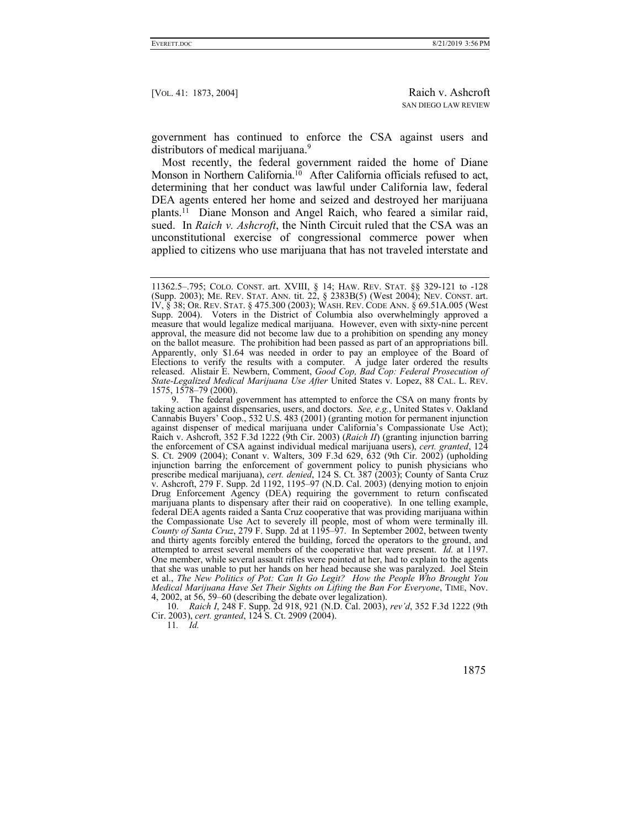government has continued to enforce the CSA against users and distributors of medical marijuana.<sup>9</sup>

Most recently, the federal government raided the home of Diane Monson in Northern California.<sup>10</sup> After California officials refused to act, determining that her conduct was lawful under California law, federal DEA agents entered her home and seized and destroyed her marijuana plants.11 Diane Monson and Angel Raich, who feared a similar raid, sued. In *Raich v. Ashcroft*, the Ninth Circuit ruled that the CSA was an unconstitutional exercise of congressional commerce power when applied to citizens who use marijuana that has not traveled interstate and

 10. *Raich I*, 248 F. Supp. 2d 918, 921 (N.D. Cal. 2003), *rev'd*, 352 F.3d 1222 (9th Cir. 2003), *cert. granted*, 124 S. Ct. 2909 (2004).

11*. Id.*

<sup>11362.5–.795;</sup> COLO. CONST. art. XVIII, § 14; HAW. REV. STAT. §§ 329-121 to -128 (Supp. 2003); ME. REV. STAT. ANN. tit. 22, § 2383B(5) (West 2004); NEV. CONST. art. IV, § 38; OR. REV. STAT. § 475.300 (2003); WASH. REV. CODE ANN. § 69.51A.005 (West Supp. 2004). Voters in the District of Columbia also overwhelmingly approved a measure that would legalize medical marijuana. However, even with sixty-nine percent approval, the measure did not become law due to a prohibition on spending any money on the ballot measure. The prohibition had been passed as part of an appropriations bill. Apparently, only \$1.64 was needed in order to pay an employee of the Board of Elections to verify the results with a computer. A judge later ordered the results released. Alistair E. Newbern, Comment, *Good Cop, Bad Cop: Federal Prosecution of State-Legalized Medical Marijuana Use After* United States v. Lopez, 88 CAL. L. REV. 1575, 1578–79 (2000).

 <sup>9.</sup> The federal government has attempted to enforce the CSA on many fronts by taking action against dispensaries, users, and doctors. *See, e.g.*, United States v. Oakland Cannabis Buyers' Coop., 532 U.S. 483 (2001) (granting motion for permanent injunction against dispenser of medical marijuana under California's Compassionate Use Act); Raich v. Ashcroft, 352 F.3d 1222 (9th Cir. 2003) (*Raich II*) (granting injunction barring the enforcement of CSA against individual medical marijuana users), *cert. granted*, 124 S. Ct. 2909 (2004); Conant v. Walters, 309 F.3d 629, 632 (9th Cir. 2002) (upholding injunction barring the enforcement of government policy to punish physicians who prescribe medical marijuana), *cert. denied*, 124 S. Ct. 387 (2003); County of Santa Cruz v. Ashcroft, 279 F. Supp. 2d 1192, 1195–97 (N.D. Cal. 2003) (denying motion to enjoin Drug Enforcement Agency (DEA) requiring the government to return confiscated marijuana plants to dispensary after their raid on cooperative). In one telling example, federal DEA agents raided a Santa Cruz cooperative that was providing marijuana within the Compassionate Use Act to severely ill people, most of whom were terminally ill. *County of Santa Cruz*, 279 F. Supp. 2d at 1195–97. In September 2002, between twenty and thirty agents forcibly entered the building, forced the operators to the ground, and attempted to arrest several members of the cooperative that were present. *Id.* at 1197. One member, while several assault rifles were pointed at her, had to explain to the agents that she was unable to put her hands on her head because she was paralyzed. Joel Stein et al., *The New Politics of Pot: Can It Go Legit? How the People Who Brought You Medical Marijuana Have Set Their Sights on Lifting the Ban For Everyone*, TIME, Nov. 4, 2002, at 56, 59–60 (describing the debate over legalization).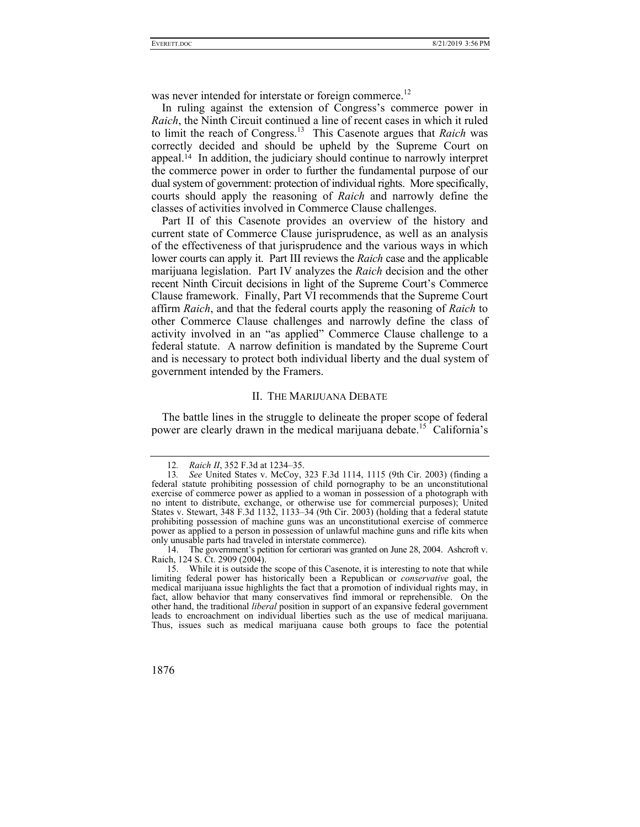was never intended for interstate or foreign commerce.<sup>12</sup>

In ruling against the extension of Congress's commerce power in *Raich*, the Ninth Circuit continued a line of recent cases in which it ruled to limit the reach of Congress.13 This Casenote argues that *Raich* was correctly decided and should be upheld by the Supreme Court on appeal.14 In addition, the judiciary should continue to narrowly interpret the commerce power in order to further the fundamental purpose of our dual system of government: protection of individual rights. More specifically, courts should apply the reasoning of *Raich* and narrowly define the classes of activities involved in Commerce Clause challenges.

Part II of this Casenote provides an overview of the history and current state of Commerce Clause jurisprudence, as well as an analysis of the effectiveness of that jurisprudence and the various ways in which lower courts can apply it. Part III reviews the *Raich* case and the applicable marijuana legislation. Part IV analyzes the *Raich* decision and the other recent Ninth Circuit decisions in light of the Supreme Court's Commerce Clause framework. Finally, Part VI recommends that the Supreme Court affirm *Raich*, and that the federal courts apply the reasoning of *Raich* to other Commerce Clause challenges and narrowly define the class of activity involved in an "as applied" Commerce Clause challenge to a federal statute. A narrow definition is mandated by the Supreme Court and is necessary to protect both individual liberty and the dual system of government intended by the Framers.

## II. THE MARIJUANA DEBATE

The battle lines in the struggle to delineate the proper scope of federal power are clearly drawn in the medical marijuana debate.<sup>15</sup> California's

<sup>12</sup>*. Raich II*, 352 F.3d at 1234–35.

<sup>13</sup>*. See* United States v. McCoy, 323 F.3d 1114, 1115 (9th Cir. 2003) (finding a federal statute prohibiting possession of child pornography to be an unconstitutional exercise of commerce power as applied to a woman in possession of a photograph with no intent to distribute, exchange, or otherwise use for commercial purposes); United States v. Stewart, 348 F.3d 1132, 1133–34 (9th Cir. 2003) (holding that a federal statute prohibiting possession of machine guns was an unconstitutional exercise of commerce power as applied to a person in possession of unlawful machine guns and rifle kits when only unusable parts had traveled in interstate commerce).

 <sup>14.</sup> The government's petition for certiorari was granted on June 28, 2004. Ashcroft v. Raich, 124 S. Ct. 2909 (2004).

 <sup>15.</sup> While it is outside the scope of this Casenote, it is interesting to note that while limiting federal power has historically been a Republican or *conservative* goal, the medical marijuana issue highlights the fact that a promotion of individual rights may, in fact, allow behavior that many conservatives find immoral or reprehensible. On the other hand, the traditional *liberal* position in support of an expansive federal government leads to encroachment on individual liberties such as the use of medical marijuana. Thus, issues such as medical marijuana cause both groups to face the potential

<sup>1876</sup>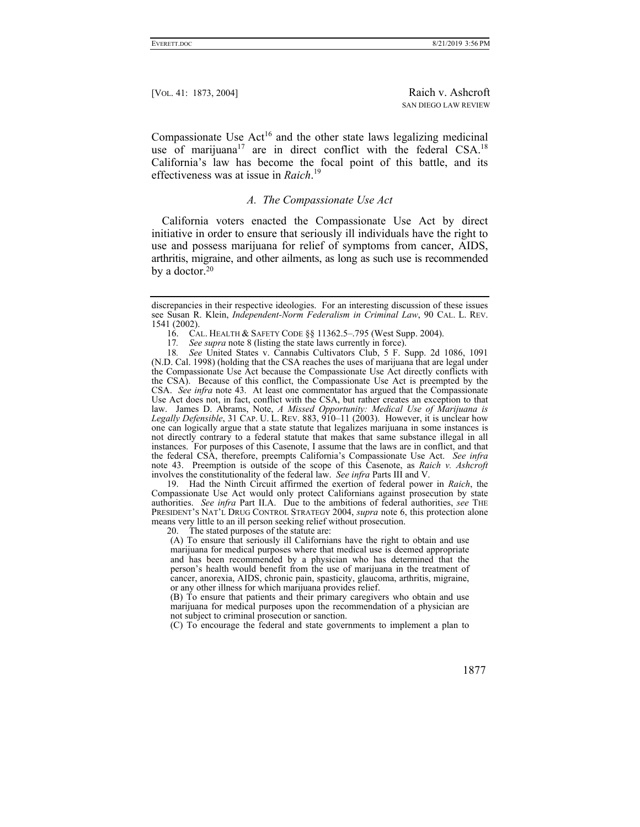Compassionate Use  $Act^{16}$  and the other state laws legalizing medicinal use of marijuana<sup>17</sup> are in direct conflict with the federal  $CSA$ <sup>18</sup> California's law has become the focal point of this battle, and its effectiveness was at issue in *Raich*. 19

# *A. The Compassionate Use Act*

California voters enacted the Compassionate Use Act by direct initiative in order to ensure that seriously ill individuals have the right to use and possess marijuana for relief of symptoms from cancer, AIDS, arthritis, migraine, and other ailments, as long as such use is recommended by a doctor.<sup>20</sup>

16. CAL. HEALTH & SAFETY CODE §§ 11362.5–.795 (West Supp. 2004).<br>17. See supra note 8 (listing the state laws currently in force).

*See supra* note 8 (listing the state laws currently in force).

18*. See* United States v. Cannabis Cultivators Club, 5 F. Supp. 2d 1086, 1091 (N.D. Cal. 1998) (holding that the CSA reaches the uses of marijuana that are legal under the Compassionate Use Act because the Compassionate Use Act directly conflicts with the CSA). Because of this conflict, the Compassionate Use Act is preempted by the CSA. *See infra* note 43. At least one commentator has argued that the Compassionate Use Act does not, in fact, conflict with the CSA, but rather creates an exception to that law. James D. Abrams, Note, *A Missed Opportunity: Medical Use of Marijuana is Legally Defensible*, 31 CAP. U. L. REV. 883, 910–11 (2003). However, it is unclear how one can logically argue that a state statute that legalizes marijuana in some instances is not directly contrary to a federal statute that makes that same substance illegal in all instances. For purposes of this Casenote, I assume that the laws are in conflict, and that the federal CSA, therefore, preempts California's Compassionate Use Act. *See infra* note 43. Preemption is outside of the scope of this Casenote, as *Raich v. Ashcroft* involves the constitutionality of the federal law. *See infra* Parts III and V.

 19. Had the Ninth Circuit affirmed the exertion of federal power in *Raich*, the Compassionate Use Act would only protect Californians against prosecution by state authorities. *See infra* Part II.A. Due to the ambitions of federal authorities, *see* THE PRESIDENT'S NAT'L DRUG CONTROL STRATEGY 2004, *supra* note 6, this protection alone means very little to an ill person seeking relief without prosecution.

20. The stated purposes of the statute are:

(A) To ensure that seriously ill Californians have the right to obtain and use marijuana for medical purposes where that medical use is deemed appropriate and has been recommended by a physician who has determined that the person's health would benefit from the use of marijuana in the treatment of cancer, anorexia, AIDS, chronic pain, spasticity, glaucoma, arthritis, migraine, or any other illness for which marijuana provides relief.

(B) To ensure that patients and their primary caregivers who obtain and use marijuana for medical purposes upon the recommendation of a physician are not subject to criminal prosecution or sanction.

(C) To encourage the federal and state governments to implement a plan to

discrepancies in their respective ideologies. For an interesting discussion of these issues see Susan R. Klein, *Independent-Norm Federalism in Criminal Law*, 90 CAL. L. REV. 1541 (2002).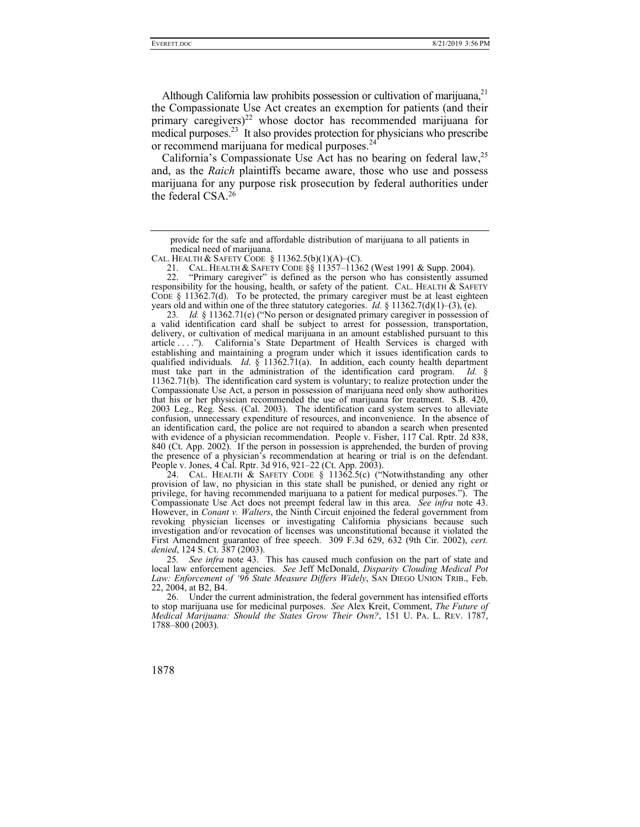Although California law prohibits possession or cultivation of marijuana,<sup>21</sup> the Compassionate Use Act creates an exemption for patients (and their primary caregivers) $22$  whose doctor has recommended marijuana for medical purposes.<sup>23</sup> It also provides protection for physicians who prescribe or recommend marijuana for medical purposes.<sup>24</sup>

California's Compassionate Use Act has no bearing on federal  $law<sub>1</sub><sup>25</sup>$ and, as the *Raich* plaintiffs became aware, those who use and possess marijuana for any purpose risk prosecution by federal authorities under the federal CSA.26

23*. Id.* § 11362.71(e) ("No person or designated primary caregiver in possession of a valid identification card shall be subject to arrest for possession, transportation, delivery, or cultivation of medical marijuana in an amount established pursuant to this article . . . ."). California's State Department of Health Services is charged with establishing and maintaining a program under which it issues identification cards to qualified individuals. *Id.* § 11362.71(a). In addition, each county health department must take part in the administration of the identification card program. *Id.* § 11362.71(b). The identification card system is voluntary; to realize protection under the Compassionate Use Act, a person in possession of marijuana need only show authorities that his or her physician recommended the use of marijuana for treatment. S.B. 420, 2003 Leg., Reg. Sess. (Cal. 2003). The identification card system serves to alleviate confusion, unnecessary expenditure of resources, and inconvenience. In the absence of an identification card, the police are not required to abandon a search when presented with evidence of a physician recommendation. People v. Fisher, 117 Cal. Rptr. 2d 838, 840 (Ct. App. 2002). If the person in possession is apprehended, the burden of proving the presence of a physician's recommendation at hearing or trial is on the defendant. People v. Jones, 4 Cal. Rptr. 3d 916, 921–22 (Ct. App. 2003).

24. CAL. HEALTH & SAFETY CODE  $\S$  11362.5(c) ("Notwithstanding any other provision of law, no physician in this state shall be punished, or denied any right or privilege, for having recommended marijuana to a patient for medical purposes."). The Compassionate Use Act does not preempt federal law in this area. *See infra* note 43. However, in *Conant v. Walters*, the Ninth Circuit enjoined the federal government from revoking physician licenses or investigating California physicians because such investigation and/or revocation of licenses was unconstitutional because it violated the First Amendment guarantee of free speech. 309 F.3d 629, 632 (9th Cir. 2002), *cert. denied*, 124 S. Ct. 387 (2003).

25*. See infra* note 43. This has caused much confusion on the part of state and local law enforcement agencies. *See* Jeff McDonald, *Disparity Clouding Medical Pot Law: Enforcement of '96 State Measure Differs Widely*, SAN DIEGO UNION TRIB., Feb. 22, 2004, at B2, B4.

 26. Under the current administration, the federal government has intensified efforts to stop marijuana use for medicinal purposes. *See* Alex Kreit, Comment, *The Future of Medical Marijuana: Should the States Grow Their Own?*, 151 U. PA. L. REV. 1787, 1788–800 (2003).

provide for the safe and affordable distribution of marijuana to all patients in medical need of marijuana.

CAL. HEALTH & SAFETY CODE  $§ 11362.5(b)(1)(A)–(C)$ .

 <sup>21.</sup> CAL. HEALTH & SAFETY CODE §§ 11357–11362 (West 1991 & Supp. 2004).

 <sup>22. &</sup>quot;Primary caregiver" is defined as the person who has consistently assumed responsibility for the housing, health, or safety of the patient. CAL. HEALTH & SAFETY CODE  $\S$  11362.7(d). To be protected, the primary caregiver must be at least eighteen years old and within one of the three statutory categories. *Id.* § 11362.7(d)(1)–(3), (e).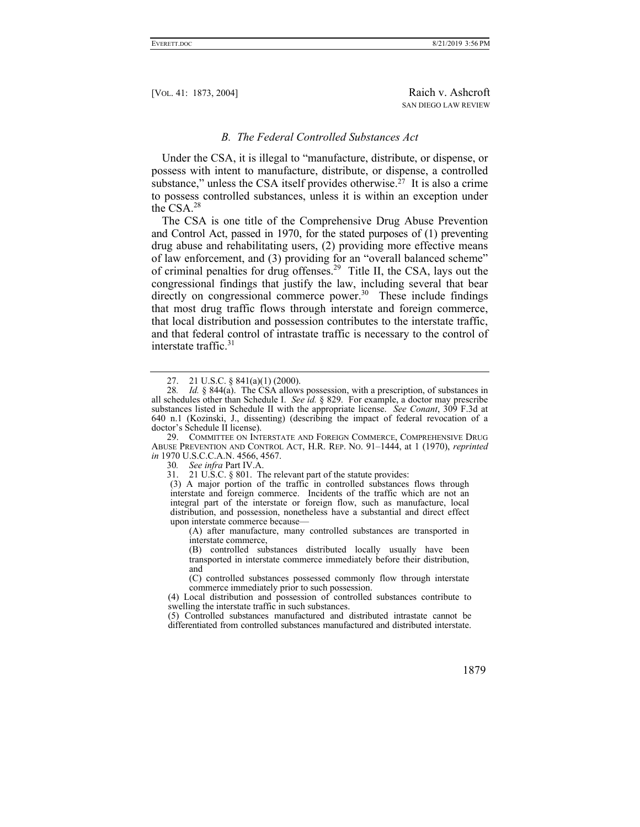#### *B. The Federal Controlled Substances Act*

Under the CSA, it is illegal to "manufacture, distribute, or dispense, or possess with intent to manufacture, distribute, or dispense, a controlled substance," unless the CSA itself provides otherwise.<sup> $27$ </sup> It is also a crime to possess controlled substances, unless it is within an exception under the  $CSA.<sup>28</sup>$ 

The CSA is one title of the Comprehensive Drug Abuse Prevention and Control Act, passed in 1970, for the stated purposes of (1) preventing drug abuse and rehabilitating users, (2) providing more effective means of law enforcement, and (3) providing for an "overall balanced scheme" of criminal penalties for drug offenses.<sup>29</sup> Title II, the CSA, lays out the congressional findings that justify the law, including several that bear directly on congressional commerce power.<sup>30</sup> These include findings that most drug traffic flows through interstate and foreign commerce, that local distribution and possession contributes to the interstate traffic, and that federal control of intrastate traffic is necessary to the control of interstate traffic.<sup>31</sup>

 29. COMMITTEE ON INTERSTATE AND FOREIGN COMMERCE, COMPREHENSIVE DRUG ABUSE PREVENTION AND CONTROL ACT, H.R. REP. NO. 91–1444, at 1 (1970), *reprinted in* 1970 U.S.C.C.A.N. 4566, 4567.

30*. See infra* Part IV.A.

(A) after manufacture, many controlled substances are transported in interstate commerce,

(B) controlled substances distributed locally usually have been transported in interstate commerce immediately before their distribution, and

(C) controlled substances possessed commonly flow through interstate commerce immediately prior to such possession.

(4) Local distribution and possession of controlled substances contribute to swelling the interstate traffic in such substances.

(5) Controlled substances manufactured and distributed intrastate cannot be differentiated from controlled substances manufactured and distributed interstate.

 <sup>27. 21</sup> U.S.C. § 841(a)(1) (2000).

<sup>28</sup>*. Id.* § 844(a). The CSA allows possession, with a prescription, of substances in all schedules other than Schedule I. *See id.* § 829. For example, a doctor may prescribe substances listed in Schedule II with the appropriate license. *See Conant*, 309 F.3d at 640 n.1 (Kozinski, J., dissenting) (describing the impact of federal revocation of a doctor's Schedule II license).

<sup>21</sup> U.S.C. § 801. The relevant part of the statute provides:

<sup>(3)</sup> A major portion of the traffic in controlled substances flows through interstate and foreign commerce. Incidents of the traffic which are not an integral part of the interstate or foreign flow, such as manufacture, local distribution, and possession, nonetheless have a substantial and direct effect upon interstate commerce because—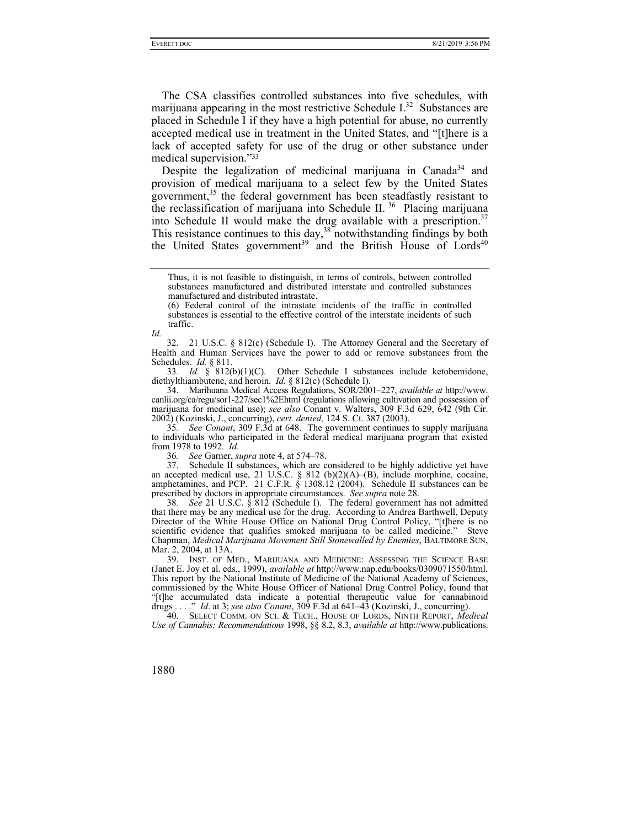The CSA classifies controlled substances into five schedules, with marijuana appearing in the most restrictive Schedule  $I^{32}$  Substances are placed in Schedule I if they have a high potential for abuse, no currently accepted medical use in treatment in the United States, and "[t]here is a lack of accepted safety for use of the drug or other substance under medical supervision."33

Despite the legalization of medicinal marijuana in Canada<sup>34</sup> and provision of medical marijuana to a select few by the United States government, $35$  the federal government has been steadfastly resistant to the reclassification of marijuana into Schedule II. 36 Placing marijuana into Schedule II would make the drug available with a prescription.<sup>37</sup> This resistance continues to this day, $38$  notwithstanding findings by both the United States government<sup>39</sup> and the British House of Lords<sup>40</sup>

(6) Federal control of the intrastate incidents of the traffic in controlled substances is essential to the effective control of the interstate incidents of such traffic.

*Id.*

 32. 21 U.S.C. § 812(c) (Schedule I). The Attorney General and the Secretary of Health and Human Services have the power to add or remove substances from the Schedules. *Id.* § 811.

33*. Id.* § 812(b)(1)(C). Other Schedule I substances include ketobemidone, diethylthiambutene, and heroin. *Id.* § 812(c) (Schedule I).

 34. Marihuana Medical Access Regulations, SOR/2001–227, *available at* http://www. canlii.org/ca/regu/sor1-227/sec1%2Ehtml (regulations allowing cultivation and possession of marijuana for medicinal use); *see also* Conant v. Walters, 309 F.3d 629, 642 (9th Cir. 2002) (Kozinski, J., concurring), *cert. denied*, 124 S. Ct. 387 (2003).

35*. See Conant*, 309 F.3d at 648. The government continues to supply marijuana to individuals who participated in the federal medical marijuana program that existed from 1978 to 1992. *Id*.

36*. See* Garner, *supra* note 4, at 574–78.

 37. Schedule II substances, which are considered to be highly addictive yet have an accepted medical use, 21 U.S.C.  $\S$  812 (b)(2)(A)–(B), include morphine, cocaine, amphetamines, and PCP. 21 C.F.R.  $\S$  1308.12 (2004). Schedule II substances can be prescribed by doctors in appropriate circumstances. *See supra* note 28.

38*. See* 21 U.S.C. § 812 (Schedule I). The federal government has not admitted that there may be any medical use for the drug. According to Andrea Barthwell, Deputy Director of the White House Office on National Drug Control Policy, "[t]here is no scientific evidence that qualifies smoked marijuana to be called medicine." Steve Chapman, *Medical Marijuana Movement Still Stonewalled by Enemies*, BALTIMORE SUN, Mar. 2, 2004, at 13A.

 39. INST. OF MED., MARIJUANA AND MEDICINE: ASSESSING THE SCIENCE BASE (Janet E. Joy et al. eds., 1999), *available at* http://www.nap.edu/books/0309071550/html. This report by the National Institute of Medicine of the National Academy of Sciences, commissioned by the White House Officer of National Drug Control Policy, found that "[t]he accumulated data indicate a potential therapeutic value for cannabinoid drugs . . . ." *Id*. at 3; *see also Conant*, 309 F.3d at 641–43 (Kozinski, J., concurring).

 40. SELECT COMM. ON SCI. & TECH., HOUSE OF LORDS, NINTH REPORT, *Medical Use of Cannabis: Recommendations* 1998, §§ 8.2, 8.3, *available at* http://www.publications.

Thus, it is not feasible to distinguish, in terms of controls, between controlled substances manufactured and distributed interstate and controlled substances manufactured and distributed intrastate.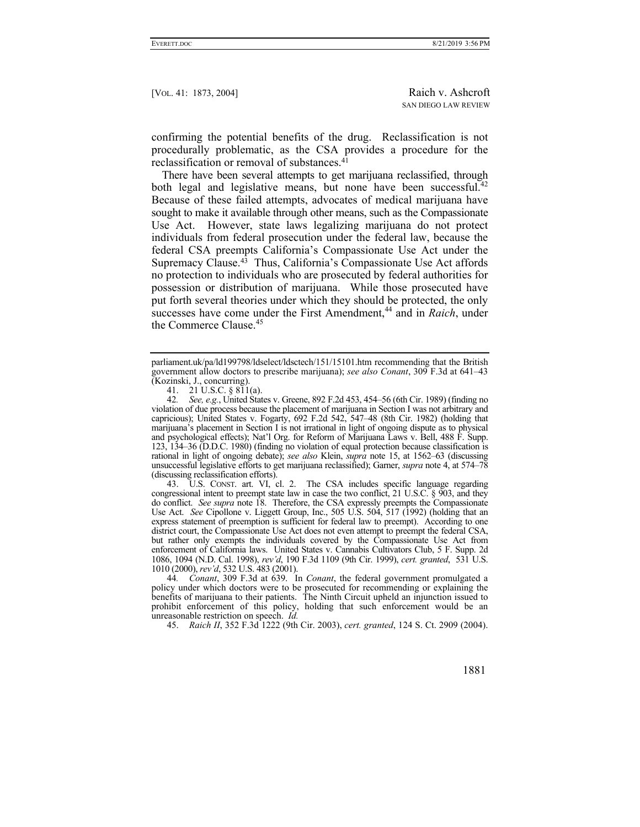confirming the potential benefits of the drug. Reclassification is not procedurally problematic, as the CSA provides a procedure for the reclassification or removal of substances.41

There have been several attempts to get marijuana reclassified, through both legal and legislative means, but none have been successful.<sup>42</sup> Because of these failed attempts, advocates of medical marijuana have sought to make it available through other means, such as the Compassionate Use Act. However, state laws legalizing marijuana do not protect individuals from federal prosecution under the federal law, because the federal CSA preempts California's Compassionate Use Act under the Supremacy Clause. $4\overline{3}$  Thus, California's Compassionate Use Act affords no protection to individuals who are prosecuted by federal authorities for possession or distribution of marijuana. While those prosecuted have put forth several theories under which they should be protected, the only successes have come under the First Amendment,<sup>44</sup> and in *Raich*, under the Commerce Clause.<sup>45</sup>

 43. U.S. CONST. art. VI, cl. 2. The CSA includes specific language regarding congressional intent to preempt state law in case the two conflict, 21 U.S.C. § 903, and they do conflict. *See supra* note 18. Therefore, the CSA expressly preempts the Compassionate Use Act. *See* Cipollone v. Liggett Group, Inc., 505 U.S. 504, 517 (1992) (holding that an express statement of preemption is sufficient for federal law to preempt). According to one district court, the Compassionate Use Act does not even attempt to preempt the federal CSA, but rather only exempts the individuals covered by the Compassionate Use Act from enforcement of California laws. United States v. Cannabis Cultivators Club, 5 F. Supp. 2d 1086, 1094 (N.D. Cal. 1998), *rev'd*, 190 F.3d 1109 (9th Cir. 1999), *cert. granted*, 531 U.S. 1010 (2000), *rev'd*, 532 U.S. 483 (2001).

44*. Conant*, 309 F.3d at 639. In *Conant*, the federal government promulgated a policy under which doctors were to be prosecuted for recommending or explaining the benefits of marijuana to their patients. The Ninth Circuit upheld an injunction issued to prohibit enforcement of this policy, holding that such enforcement would be an unreasonable restriction on speech. *Id.*

45. *Raich II*, 352 F.3d 1222 (9th Cir. 2003), *cert. granted*, 124 S. Ct. 2909 (2004).

parliament.uk/pa/ld199798/ldselect/ldsctech/151/15101.htm recommending that the British government allow doctors to prescribe marijuana); *see also Conant*, 309 F.3d at 641–43 (Kozinski, J., concurring).

<sup>41. 21</sup> U.S.C.  $\S 811(a)$ .

<sup>42</sup>*. See, e.g.*, United States v. Greene, 892 F.2d 453, 454–56 (6th Cir. 1989) (finding no violation of due process because the placement of marijuana in Section I was not arbitrary and capricious); United States v. Fogarty, 692 F.2d 542, 547–48 (8th Cir. 1982) (holding that marijuana's placement in Section I is not irrational in light of ongoing dispute as to physical and psychological effects); Nat'l Org. for Reform of Marijuana Laws v. Bell, 488 F. Supp. 123, 134–36 (D.D.C. 1980) (finding no violation of equal protection because classification is rational in light of ongoing debate); *see also* Klein, *supra* note 15, at 1562–63 (discussing unsuccessful legislative efforts to get marijuana reclassified); Garner, *supra* note 4, at 574–78 (discussing reclassification efforts).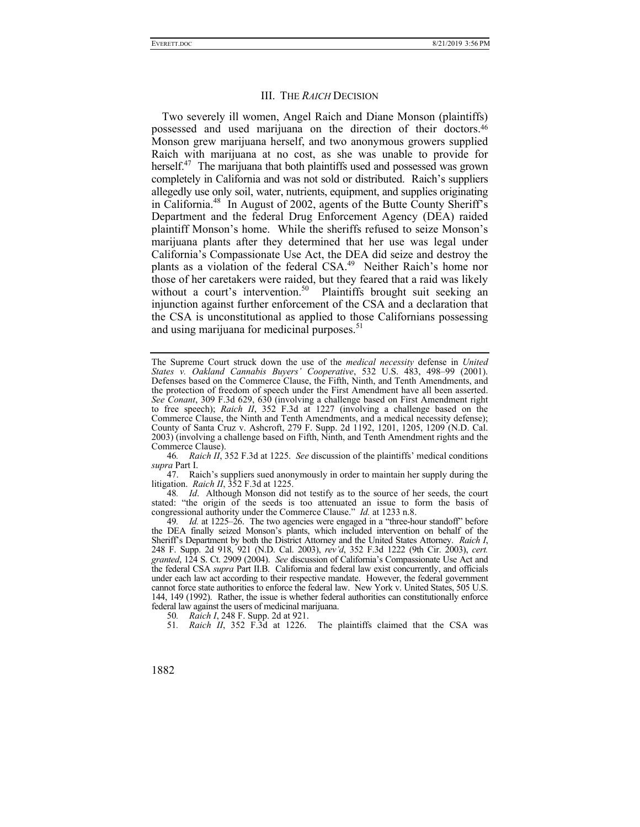#### III. THE *RAICH* DECISION

Two severely ill women, Angel Raich and Diane Monson (plaintiffs) possessed and used marijuana on the direction of their doctors.46 Monson grew marijuana herself, and two anonymous growers supplied Raich with marijuana at no cost, as she was unable to provide for herself.<sup>47</sup> The marijuana that both plaintiffs used and possessed was grown completely in California and was not sold or distributed. Raich's suppliers allegedly use only soil, water, nutrients, equipment, and supplies originating in California.48 In August of 2002, agents of the Butte County Sheriff's Department and the federal Drug Enforcement Agency (DEA) raided plaintiff Monson's home. While the sheriffs refused to seize Monson's marijuana plants after they determined that her use was legal under California's Compassionate Use Act, the DEA did seize and destroy the plants as a violation of the federal CSA.<sup>49</sup> Neither Raich's home nor those of her caretakers were raided, but they feared that a raid was likely without a court's intervention.<sup>50</sup> Plaintiffs brought suit seeking an injunction against further enforcement of the CSA and a declaration that the CSA is unconstitutional as applied to those Californians possessing and using marijuana for medicinal purposes.<sup>51</sup>

The Supreme Court struck down the use of the *medical necessity* defense in *United States v. Oakland Cannabis Buyers' Cooperative*, 532 U.S. 483, 498–99 (2001). Defenses based on the Commerce Clause, the Fifth, Ninth, and Tenth Amendments, and the protection of freedom of speech under the First Amendment have all been asserted. *See Conant*, 309 F.3d 629, 630 (involving a challenge based on First Amendment right to free speech); *Raich II*, 352 F.3d at 1227 (involving a challenge based on the Commerce Clause, the Ninth and Tenth Amendments, and a medical necessity defense); County of Santa Cruz v. Ashcroft, 279 F. Supp. 2d 1192, 1201, 1205, 1209 (N.D. Cal. 2003) (involving a challenge based on Fifth, Ninth, and Tenth Amendment rights and the Commerce Clause).

<sup>46</sup>*. Raich II*, 352 F.3d at 1225. *See* discussion of the plaintiffs' medical conditions *supra* Part I.

 <sup>47.</sup> Raich's suppliers sued anonymously in order to maintain her supply during the litigation. *Raich II*, 352 F.3d at 1225.

<sup>48</sup>*. Id*. Although Monson did not testify as to the source of her seeds, the court stated: "the origin of the seeds is too attenuated an issue to form the basis of congressional authority under the Commerce Clause." *Id.* at 1233 n.8.

<sup>49</sup>*. Id.* at 1225–26. The two agencies were engaged in a "three-hour standoff" before the DEA finally seized Monson's plants, which included intervention on behalf of the Sheriff's Department by both the District Attorney and the United States Attorney. *Raich I*, 248 F. Supp. 2d 918, 921 (N.D. Cal. 2003), *rev'd*, 352 F.3d 1222 (9th Cir. 2003), *cert. granted*, 124 S. Ct. 2909 (2004). *See* discussion of California's Compassionate Use Act and the federal CSA *supra* Part II.B. California and federal law exist concurrently, and officials under each law act according to their respective mandate. However, the federal government cannot force state authorities to enforce the federal law. New York v. United States, 505 U.S. 144, 149 (1992). Rather, the issue is whether federal authorities can constitutionally enforce federal law against the users of medicinal marijuana.

<sup>50</sup>*. Raich I*, 248 F. Supp. 2d at 921.

<sup>51</sup>*. Raich II*, 352 F.3d at 1226. The plaintiffs claimed that the CSA was

<sup>1882</sup>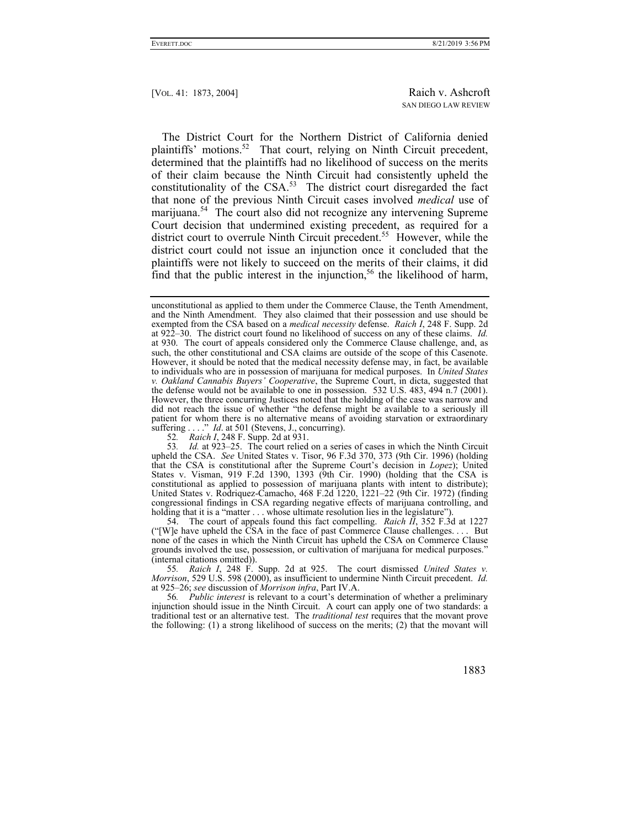The District Court for the Northern District of California denied plaintiffs' motions.<sup>52</sup> That court, relying on Ninth Circuit precedent, determined that the plaintiffs had no likelihood of success on the merits of their claim because the Ninth Circuit had consistently upheld the constitutionality of the CSA.<sup>53</sup> The district court disregarded the fact that none of the previous Ninth Circuit cases involved *medical* use of marijuana.<sup>54</sup> The court also did not recognize any intervening Supreme Court decision that undermined existing precedent, as required for a district court to overrule Ninth Circuit precedent.<sup>55</sup> However, while the district court could not issue an injunction once it concluded that the plaintiffs were not likely to succeed on the merits of their claims, it did find that the public interest in the injunction,<sup>56</sup> the likelihood of harm,

52*. Raich I*, 248 F. Supp. 2d at 931.

53*. Id.* at 923–25. The court relied on a series of cases in which the Ninth Circuit upheld the CSA. *See* United States v. Tisor, 96 F.3d 370, 373 (9th Cir. 1996) (holding that the CSA is constitutional after the Supreme Court's decision in *Lopez*); United States v. Visman, 919 F.2d 1390, 1393 (9th Cir. 1990) (holding that the CSA is constitutional as applied to possession of marijuana plants with intent to distribute); United States v. Rodriquez-Camacho, 468 F.2d 1220, 1221–22 (9th Cir. 1972) (finding congressional findings in CSA regarding negative effects of marijuana controlling, and holding that it is a "matter . . . whose ultimate resolution lies in the legislature").

 54. The court of appeals found this fact compelling. *Raich II*, 352 F.3d at 1227 ("[W]e have upheld the CSA in the face of past Commerce Clause challenges. . . . But none of the cases in which the Ninth Circuit has upheld the CSA on Commerce Clause grounds involved the use, possession, or cultivation of marijuana for medical purposes." (internal citations omitted)).

55*. Raich I*, 248 F. Supp. 2d at 925. The court dismissed *United States v. Morrison*, 529 U.S. 598 (2000), as insufficient to undermine Ninth Circuit precedent. *Id.* at 925–26; *see* discussion of *Morrison infra*, Part IV.A.

56*. Public interest* is relevant to a court's determination of whether a preliminary injunction should issue in the Ninth Circuit. A court can apply one of two standards: a traditional test or an alternative test. The *traditional test* requires that the movant prove the following: (1) a strong likelihood of success on the merits; (2) that the movant will

unconstitutional as applied to them under the Commerce Clause, the Tenth Amendment, and the Ninth Amendment. They also claimed that their possession and use should be exempted from the CSA based on a *medical necessity* defense. *Raich I*, 248 F. Supp. 2d at 922–30. The district court found no likelihood of success on any of these claims. *Id.* at 930. The court of appeals considered only the Commerce Clause challenge, and, as such, the other constitutional and CSA claims are outside of the scope of this Casenote. However, it should be noted that the medical necessity defense may, in fact, be available to individuals who are in possession of marijuana for medical purposes. In *United States v. Oakland Cannabis Buyers' Cooperative*, the Supreme Court, in dicta, suggested that the defense would not be available to one in possession. 532 U.S. 483, 494 n.7 (2001). However, the three concurring Justices noted that the holding of the case was narrow and did not reach the issue of whether "the defense might be available to a seriously ill patient for whom there is no alternative means of avoiding starvation or extraordinary suffering . . . ." *Id.* at 501 (Stevens, J., concurring).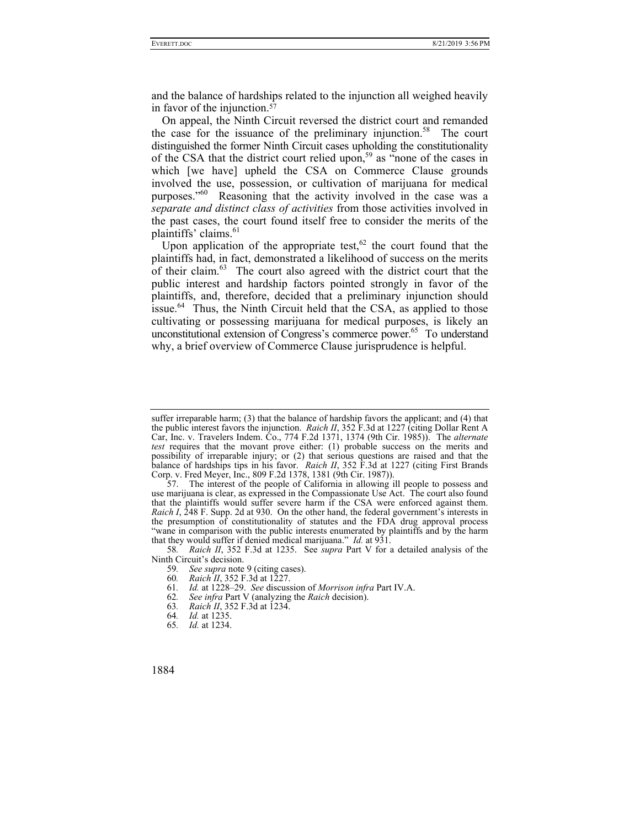and the balance of hardships related to the injunction all weighed heavily in favor of the injunction.57

On appeal, the Ninth Circuit reversed the district court and remanded the case for the issuance of the preliminary injunction.<sup>58</sup> The court distinguished the former Ninth Circuit cases upholding the constitutionality of the CSA that the district court relied upon,<sup>59</sup> as "none of the cases in which [we have] upheld the CSA on Commerce Clause grounds involved the use, possession, or cultivation of marijuana for medical purposes."<sup>60</sup> Reasoning that the activity involved in the case was a *separate and distinct class of activities* from those activities involved in the past cases, the court found itself free to consider the merits of the plaintiffs' claims.<sup>61</sup>

Upon application of the appropriate test,  $62$  the court found that the plaintiffs had, in fact, demonstrated a likelihood of success on the merits of their claim. $^{63}$  The court also agreed with the district court that the public interest and hardship factors pointed strongly in favor of the plaintiffs, and, therefore, decided that a preliminary injunction should issue.<sup>64</sup> Thus, the Ninth Circuit held that the CSA, as applied to those cultivating or possessing marijuana for medical purposes, is likely an unconstitutional extension of Congress's commerce power.<sup>65</sup> To understand why, a brief overview of Commerce Clause jurisprudence is helpful.

- 61*. Id.* at 1228–29. *See* discussion of *Morrison infra* Part IV.A.
- 62*. See infra* Part V (analyzing the *Raich* decision).
- 63*. Raich II*, 352 F.3d at 1234.
- 64*. Id.* at 1235.
- 65*. Id.* at 1234.

suffer irreparable harm; (3) that the balance of hardship favors the applicant; and (4) that the public interest favors the injunction. *Raich II*, 352 F.3d at 1227 (citing Dollar Rent A Car, Inc. v. Travelers Indem. Co., 774 F.2d 1371, 1374 (9th Cir. 1985)). The *alternate test* requires that the movant prove either: (1) probable success on the merits and possibility of irreparable injury; or (2) that serious questions are raised and that the balance of hardships tips in his favor. *Raich II*, 352 F.3d at 1227 (citing First Brands Corp. v. Fred Meyer, Inc., 809 F.2d 1378, 1381 (9th Cir. 1987)).

 <sup>57.</sup> The interest of the people of California in allowing ill people to possess and use marijuana is clear, as expressed in the Compassionate Use Act. The court also found that the plaintiffs would suffer severe harm if the CSA were enforced against them. *Raich I*, 248 F. Supp. 2d at 930. On the other hand, the federal government's interests in the presumption of constitutionality of statutes and the FDA drug approval process "wane in comparison with the public interests enumerated by plaintiffs and by the harm that they would suffer if denied medical marijuana." *Id.* at 931.

<sup>58</sup>*. Raich II*, 352 F.3d at 1235. See *supra* Part V for a detailed analysis of the Ninth Circuit's decision.

<sup>59</sup>*. See supra* note 9 (citing cases).

<sup>60.</sup> Raich<sup>1</sup>*II*, 352 F.3d at 1227.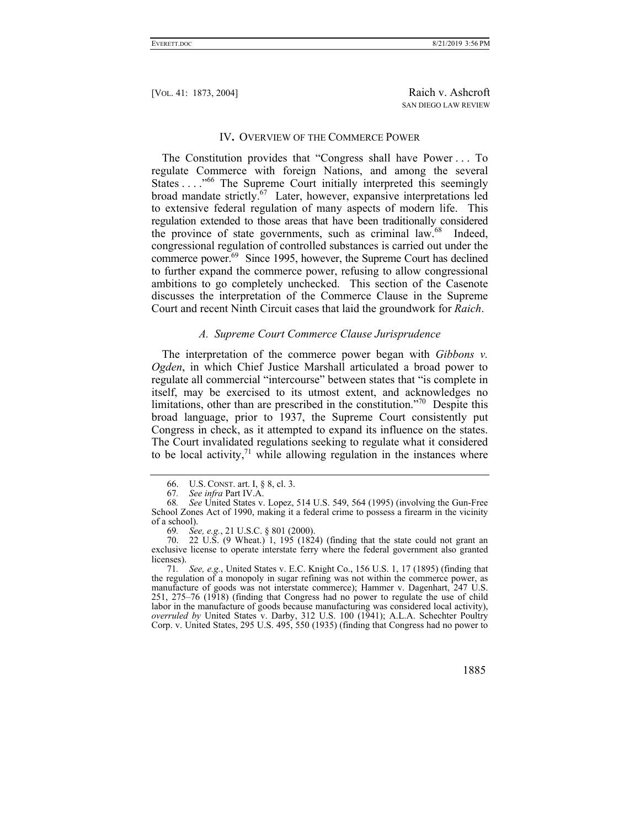#### IV**.** OVERVIEW OF THE COMMERCE POWER

The Constitution provides that "Congress shall have Power . . . To regulate Commerce with foreign Nations, and among the several States . . . ."66 The Supreme Court initially interpreted this seemingly broad mandate strictly.<sup>67</sup> Later, however, expansive interpretations led to extensive federal regulation of many aspects of modern life. This regulation extended to those areas that have been traditionally considered the province of state governments, such as criminal law.<sup>68</sup> Indeed, congressional regulation of controlled substances is carried out under the commerce power.<sup>69</sup> Since 1995, however, the Supreme Court has declined to further expand the commerce power, refusing to allow congressional ambitions to go completely unchecked. This section of the Casenote discusses the interpretation of the Commerce Clause in the Supreme Court and recent Ninth Circuit cases that laid the groundwork for *Raich*.

## *A. Supreme Court Commerce Clause Jurisprudence*

The interpretation of the commerce power began with *Gibbons v. Ogden*, in which Chief Justice Marshall articulated a broad power to regulate all commercial "intercourse" between states that "is complete in itself, may be exercised to its utmost extent, and acknowledges no limitations, other than are prescribed in the constitution."<sup>70</sup> Despite this broad language, prior to 1937, the Supreme Court consistently put Congress in check, as it attempted to expand its influence on the states. The Court invalidated regulations seeking to regulate what it considered to be local activity, $^{71}$  while allowing regulation in the instances where

<sup>71</sup>*. See, e.g.*, United States v. E.C. Knight Co., 156 U.S. 1, 17 (1895) (finding that the regulation of a monopoly in sugar refining was not within the commerce power, as manufacture of goods was not interstate commerce); Hammer v. Dagenhart, 247 U.S. 251, 275–76 (1918) (finding that Congress had no power to regulate the use of child labor in the manufacture of goods because manufacturing was considered local activity), *overruled by* United States v. Darby, 312 U.S. 100 (1941); A.L.A. Schechter Poultry Corp. v. United States, 295 U.S. 495, 550 (1935) (finding that Congress had no power to



 <sup>66.</sup> U.S. CONST. art. I, § 8, cl. 3.

<sup>67</sup>*. See infra* Part IV.A.

<sup>68</sup>*. See* United States v. Lopez, 514 U.S. 549, 564 (1995) (involving the Gun-Free School Zones Act of 1990, making it a federal crime to possess a firearm in the vicinity of a school).

<sup>69</sup>*. See, e.g.*, 21 U.S.C. § 801 (2000).

 <sup>70. 22</sup> U.S. (9 Wheat.) 1, 195 (1824) (finding that the state could not grant an exclusive license to operate interstate ferry where the federal government also granted licenses).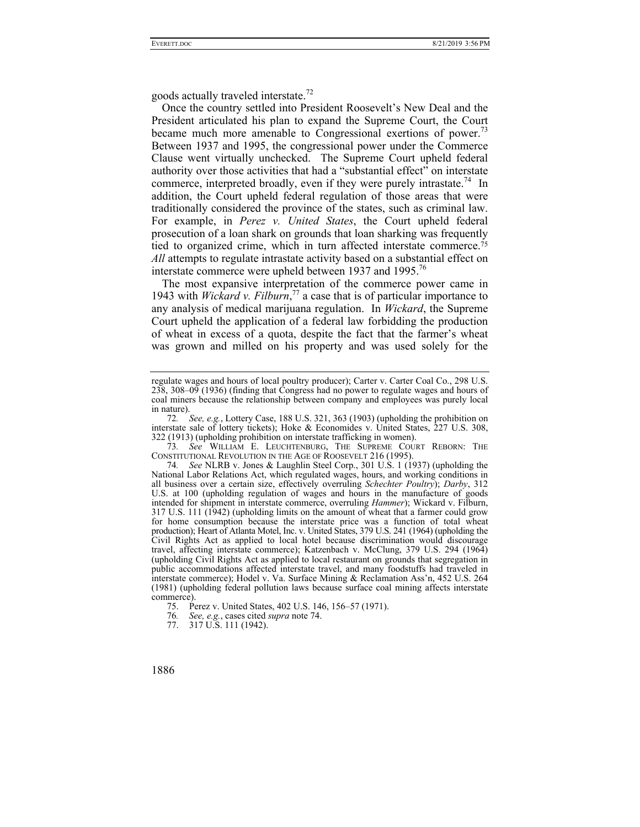goods actually traveled interstate.<sup>72</sup>

Once the country settled into President Roosevelt's New Deal and the President articulated his plan to expand the Supreme Court, the Court became much more amenable to Congressional exertions of power.<sup>73</sup> Between 1937 and 1995, the congressional power under the Commerce Clause went virtually unchecked. The Supreme Court upheld federal authority over those activities that had a "substantial effect" on interstate commerce, interpreted broadly, even if they were purely intrastate.<sup>74</sup> In addition, the Court upheld federal regulation of those areas that were traditionally considered the province of the states, such as criminal law. For example, in *Perez v. United States*, the Court upheld federal prosecution of a loan shark on grounds that loan sharking was frequently tied to organized crime, which in turn affected interstate commerce.75 *All* attempts to regulate intrastate activity based on a substantial effect on interstate commerce were upheld between 1937 and 1995.<sup>76</sup>

The most expansive interpretation of the commerce power came in 1943 with *Wickard v. Filburn*, 77 a case that is of particular importance to any analysis of medical marijuana regulation. In *Wickard*, the Supreme Court upheld the application of a federal law forbidding the production of wheat in excess of a quota, despite the fact that the farmer's wheat was grown and milled on his property and was used solely for the

73*. See* WILLIAM E. LEUCHTENBURG, THE SUPREME COURT REBORN: THE CONSTITUTIONAL REVOLUTION IN THE AGE OF ROOSEVELT 216 (1995).

 <sup>77. 317</sup> U.S. 111 (1942).



regulate wages and hours of local poultry producer); Carter v. Carter Coal Co., 298 U.S. 238, 308–09 (1936) (finding that Congress had no power to regulate wages and hours of coal miners because the relationship between company and employees was purely local in nature).

<sup>72</sup>*. See, e.g.*, Lottery Case, 188 U.S. 321, 363 (1903) (upholding the prohibition on interstate sale of lottery tickets); Hoke & Economides v. United States, 227 U.S. 308, 322 (1913) (upholding prohibition on interstate trafficking in women).

<sup>74</sup>*. See* NLRB v. Jones & Laughlin Steel Corp., 301 U.S. 1 (1937) (upholding the National Labor Relations Act, which regulated wages, hours, and working conditions in all business over a certain size, effectively overruling *Schechter Poultry*); *Darby*, 312 U.S. at 100 (upholding regulation of wages and hours in the manufacture of goods intended for shipment in interstate commerce, overruling *Hammer*); Wickard v. Filburn, 317 U.S. 111 (1942) (upholding limits on the amount of wheat that a farmer could grow for home consumption because the interstate price was a function of total wheat production); Heart of Atlanta Motel, Inc. v. United States, 379 U.S. 241 (1964) (upholding the Civil Rights Act as applied to local hotel because discrimination would discourage travel, affecting interstate commerce); Katzenbach v. McClung, 379 U.S. 294 (1964) (upholding Civil Rights Act as applied to local restaurant on grounds that segregation in public accommodations affected interstate travel, and many foodstuffs had traveled in interstate commerce); Hodel v. Va. Surface Mining & Reclamation Ass'n, 452 U.S. 264 (1981) (upholding federal pollution laws because surface coal mining affects interstate commerce).

 <sup>75.</sup> Perez v. United States, 402 U.S. 146, 156–57 (1971).

<sup>76</sup>*. See, e.g.*, cases cited *supra* note 74.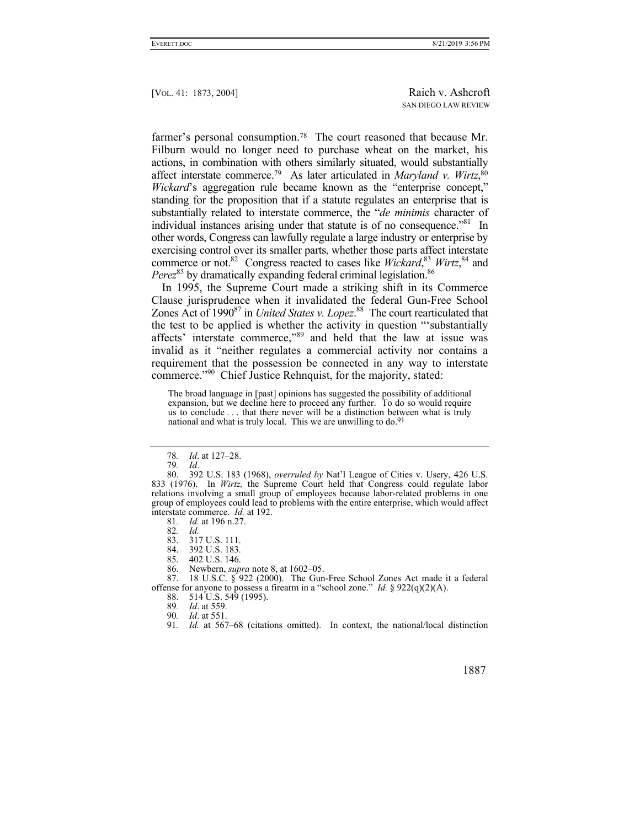farmer's personal consumption.<sup>78</sup> The court reasoned that because Mr. Filburn would no longer need to purchase wheat on the market, his actions, in combination with others similarly situated, would substantially affect interstate commerce.79 As later articulated in *Maryland v. Wirtz*, 80 *Wickard*'s aggregation rule became known as the "enterprise concept," standing for the proposition that if a statute regulates an enterprise that is substantially related to interstate commerce, the "*de minimis* character of individual instances arising under that statute is of no consequence."<sup>81</sup> In other words, Congress can lawfully regulate a large industry or enterprise by exercising control over its smaller parts, whether those parts affect interstate commerce or not.<sup>82</sup> Congress reacted to cases like *Wickard*,<sup>83</sup> *Wirtz*,<sup>84</sup> and *Perez*<sup>85</sup> by dramatically expanding federal criminal legislation.<sup>86</sup>

In 1995, the Supreme Court made a striking shift in its Commerce Clause jurisprudence when it invalidated the federal Gun-Free School Zones Act of 1990<sup>87</sup> in *United States v. Lopez*.<sup>88</sup> The court rearticulated that the test to be applied is whether the activity in question "'substantially affects' interstate commerce,"89 and held that the law at issue was invalid as it "neither regulates a commercial activity nor contains a requirement that the possession be connected in any way to interstate commerce."90 Chief Justice Rehnquist, for the majority, stated:

The broad language in [past] opinions has suggested the possibility of additional expansion, but we decline here to proceed any further. To do so would require us to conclude . . . that there never will be a distinction between what is truly national and what is truly local. This we are unwilling to do.91

81*. Id.* at 196 n.27.

<sup>78</sup>*. Id*. at 127–28.

<sup>79</sup>*. Id*.

 <sup>80. 392</sup> U.S. 183 (1968), *overruled by* Nat'l League of Cities v. Usery, 426 U.S. 833 (1976). In *Wirtz,* the Supreme Court held that Congress could regulate labor relations involving a small group of employees because labor-related problems in one group of employees could lead to problems with the entire enterprise, which would affect interstate commerce. *Id.* at 192.

<sup>82</sup>*. Id.*

 <sup>83. 317</sup> U.S. 111.

 <sup>84. 392</sup> U.S. 183.

 <sup>85. 402</sup> U.S. 146.

 <sup>86.</sup> Newbern, *supra* note 8, at 1602–05.

 <sup>87. 18</sup> U.S.C. § 922 (2000). The Gun-Free School Zones Act made it a federal offense for anyone to possess a firearm in a "school zone." *Id.* § 922(q)(2)(A).

 <sup>88. 514</sup> U.S. 549 (1995).

<sup>89</sup>*. Id*. at 559.

<sup>90</sup>*. Id*. at 551.

<sup>91</sup>*. Id.* at 567–68 (citations omitted). In context, the national/local distinction

 <sup>1887</sup>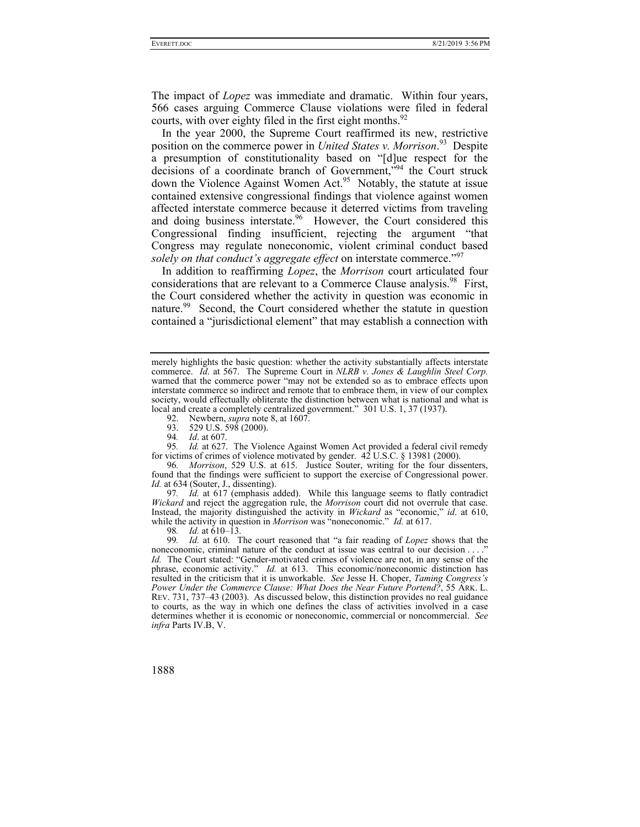The impact of *Lopez* was immediate and dramatic. Within four years, 566 cases arguing Commerce Clause violations were filed in federal courts, with over eighty filed in the first eight months. $92$ 

In the year 2000, the Supreme Court reaffirmed its new, restrictive position on the commerce power in *United States v. Morrison*. 93 Despite a presumption of constitutionality based on "[d]ue respect for the decisions of a coordinate branch of Government,<sup>"94</sup> the Court struck down the Violence Against Women Act.<sup>95</sup> Notably, the statute at issue contained extensive congressional findings that violence against women affected interstate commerce because it deterred victims from traveling and doing business interstate.<sup>96</sup> However, the Court considered this Congressional finding insufficient, rejecting the argument "that Congress may regulate noneconomic, violent criminal conduct based *solely on that conduct's aggregate effect* on interstate commerce."<sup>97</sup>

In addition to reaffirming *Lopez*, the *Morrison* court articulated four considerations that are relevant to a Commerce Clause analysis.<sup>98</sup> First, the Court considered whether the activity in question was economic in nature.<sup>99</sup> Second, the Court considered whether the statute in question contained a "jurisdictional element" that may establish a connection with

92. Newbern, *supra* note 8, at 1607.

93. 529 U.S. 598 (2000).

94*. Id*. at 607.

95*. Id.* at 627. The Violence Against Women Act provided a federal civil remedy for victims of crimes of violence motivated by gender. 42 U.S.C. § 13981 (2000).

96*. Morrison*, 529 U.S. at 615. Justice Souter, writing for the four dissenters, found that the findings were sufficient to support the exercise of Congressional power. *Id.* at 634 (Souter, J., dissenting).

97*. Id.* at 617 (emphasis added). While this language seems to flatly contradict *Wickard* and reject the aggregation rule, the *Morrison* court did not overrule that case. Instead, the majority distinguished the activity in *Wickard* as "economic," *id*. at 610, while the activity in question in *Morrison* was "noneconomic." *Id.* at 617.

98*. Id.* at 610–13.

99*. Id.* at 610. The court reasoned that "a fair reading of *Lopez* shows that the noneconomic, criminal nature of the conduct at issue was central to our decision . . . . *Id.* The Court stated: "Gender-motivated crimes of violence are not, in any sense of the phrase, economic activity." *Id.* at 613. This economic/noneconomic distinction has resulted in the criticism that it is unworkable. *See* Jesse H. Choper, *Taming Congress's Power Under the Commerce Clause: What Does the Near Future Portend?*, 55 ARK. L. REV. 731, 737–43 (2003). As discussed below, this distinction provides no real guidance to courts, as the way in which one defines the class of activities involved in a case determines whether it is economic or noneconomic, commercial or noncommercial. *See infra* Parts IV.B, V.

merely highlights the basic question: whether the activity substantially affects interstate commerce. *Id*. at 567. The Supreme Court in *NLRB v. Jones & Laughlin Steel Corp.* warned that the commerce power "may not be extended so as to embrace effects upon interstate commerce so indirect and remote that to embrace them, in view of our complex society, would effectually obliterate the distinction between what is national and what is local and create a completely centralized government." 301 U.S. 1, 37 (1937).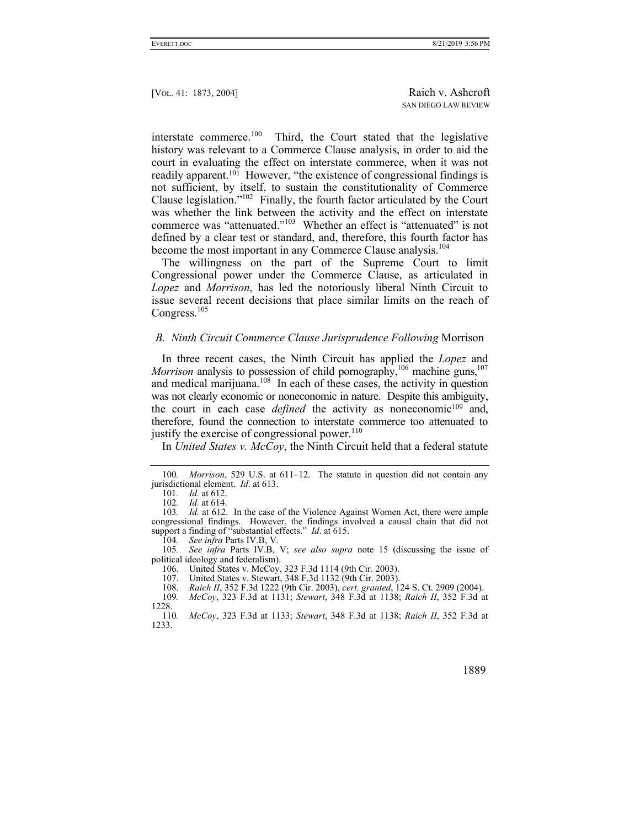interstate commerce.100 Third, the Court stated that the legislative history was relevant to a Commerce Clause analysis, in order to aid the court in evaluating the effect on interstate commerce, when it was not readily apparent.<sup>101</sup> However, "the existence of congressional findings is not sufficient, by itself, to sustain the constitutionality of Commerce Clause legislation."102 Finally, the fourth factor articulated by the Court was whether the link between the activity and the effect on interstate commerce was "attenuated."103 Whether an effect is "attenuated" is not defined by a clear test or standard, and, therefore, this fourth factor has become the most important in any Commerce Clause analysis.<sup>104</sup>

The willingness on the part of the Supreme Court to limit Congressional power under the Commerce Clause, as articulated in *Lopez* and *Morrison*, has led the notoriously liberal Ninth Circuit to issue several recent decisions that place similar limits on the reach of Congress.<sup>105</sup>

#### *B. Ninth Circuit Commerce Clause Jurisprudence Following* Morrison

In three recent cases, the Ninth Circuit has applied the *Lopez* and *Morrison* analysis to possession of child pornography,<sup>106</sup> machine guns,<sup>107</sup> and medical marijuana.<sup>108</sup> In each of these cases, the activity in question was not clearly economic or noneconomic in nature. Despite this ambiguity, the court in each case *defined* the activity as noneconomic<sup>109</sup> and, therefore, found the connection to interstate commerce too attenuated to justify the exercise of congressional power.<sup>110</sup>

In *United States v. McCoy*, the Ninth Circuit held that a federal statute

<sup>110</sup>*. McCoy*, 323 F.3d at 1133; *Stewart*, 348 F.3d at 1138; *Raich II*, 352 F.3d at 1233.



<sup>100</sup>*. Morrison*, 529 U.S. at 611–12. The statute in question did not contain any jurisdictional element. *Id*. at 613.

<sup>101</sup>*. Id.* at 612.

<sup>102</sup>*. Id.* at 614.

<sup>103</sup>*. Id.* at 612. In the case of the Violence Against Women Act, there were ample congressional findings. However, the findings involved a causal chain that did not support a finding of "substantial effects." *Id*. at 615.

<sup>104</sup>*. See infra* Parts IV.B, V.

<sup>105</sup>*. See infra* Parts IV.B, V; *see also supra* note 15 (discussing the issue of political ideology and federalism).

 <sup>106.</sup> United States v. McCoy, 323 F.3d 1114 (9th Cir. 2003).

 <sup>107.</sup> United States v. Stewart, 348 F.3d 1132 (9th Cir. 2003).

 <sup>108.</sup> *Raich II*, 352 F.3d 1222 (9th Cir. 2003), *cert. granted*, 124 S. Ct. 2909 (2004).

<sup>109</sup>*. McCoy*, 323 F.3d at 1131; *Stewart*, 348 F.3d at 1138; *Raich II*, 352 F.3d at 1228.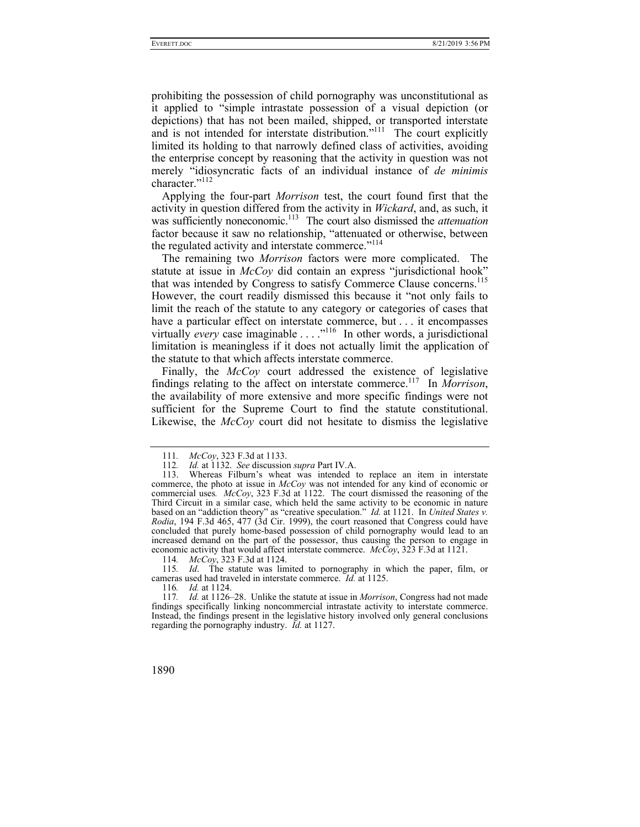prohibiting the possession of child pornography was unconstitutional as it applied to "simple intrastate possession of a visual depiction (or depictions) that has not been mailed, shipped, or transported interstate and is not intended for interstate distribution."<sup>111</sup> The court explicitly limited its holding to that narrowly defined class of activities, avoiding the enterprise concept by reasoning that the activity in question was not merely "idiosyncratic facts of an individual instance of *de minimis* character."<sup>112</sup>

Applying the four-part *Morrison* test, the court found first that the activity in question differed from the activity in *Wickard*, and, as such, it was sufficiently noneconomic.<sup>113</sup> The court also dismissed the *attenuation* factor because it saw no relationship, "attenuated or otherwise, between the regulated activity and interstate commerce."<sup>114</sup>

The remaining two *Morrison* factors were more complicated. The statute at issue in *McCoy* did contain an express "jurisdictional hook" that was intended by Congress to satisfy Commerce Clause concerns.<sup>115</sup> However, the court readily dismissed this because it "not only fails to limit the reach of the statute to any category or categories of cases that have a particular effect on interstate commerce, but . . . it encompasses virtually *every* case imaginable . . . ."116 In other words, a jurisdictional limitation is meaningless if it does not actually limit the application of the statute to that which affects interstate commerce.

Finally, the *McCoy* court addressed the existence of legislative findings relating to the affect on interstate commerce.117 In *Morrison*, the availability of more extensive and more specific findings were not sufficient for the Supreme Court to find the statute constitutional. Likewise, the *McCoy* court did not hesitate to dismiss the legislative

115*. Id*. The statute was limited to pornography in which the paper, film, or cameras used had traveled in interstate commerce. *Id.* at 1125.

116*. Id.* at 1124.

<sup>111</sup>*. McCoy*, 323 F.3d at 1133.

<sup>112</sup>*. Id.* at 1132. *See* discussion *supra* Part IV.A.

 <sup>113.</sup> Whereas Filburn's wheat was intended to replace an item in interstate commerce, the photo at issue in *McCoy* was not intended for any kind of economic or commercial uses*. McCoy*, 323 F.3d at 1122. The court dismissed the reasoning of the Third Circuit in a similar case, which held the same activity to be economic in nature based on an "addiction theory" as "creative speculation." *Id.* at 1121. In *United States v. Rodia*, 194 F.3d 465, 477 (3d Cir. 1999), the court reasoned that Congress could have concluded that purely home-based possession of child pornography would lead to an increased demand on the part of the possessor, thus causing the person to engage in economic activity that would affect interstate commerce. *McCoy*, 323 F.3d at 1121.

<sup>114</sup>*. McCoy*, 323 F.3d at 1124.

<sup>117</sup>*. Id.* at 1126–28. Unlike the statute at issue in *Morrison*, Congress had not made findings specifically linking noncommercial intrastate activity to interstate commerce. Instead, the findings present in the legislative history involved only general conclusions regarding the pornography industry. *Id.* at 1127.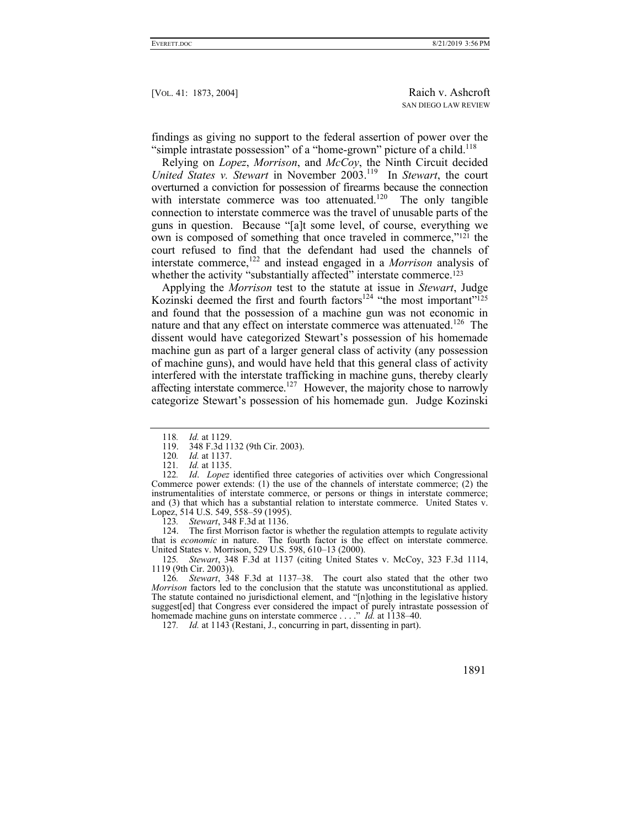findings as giving no support to the federal assertion of power over the "simple intrastate possession" of a "home-grown" picture of a child.<sup>118</sup>

Relying on *Lopez*, *Morrison*, and *McCoy*, the Ninth Circuit decided *United States v. Stewart* in November 2003.<sup>119</sup> In *Stewart*, the court overturned a conviction for possession of firearms because the connection with interstate commerce was too attenuated.<sup>120</sup> The only tangible connection to interstate commerce was the travel of unusable parts of the guns in question. Because "[a]t some level, of course, everything we own is composed of something that once traveled in commerce,"121 the court refused to find that the defendant had used the channels of interstate commerce,122 and instead engaged in a *Morrison* analysis of whether the activity "substantially affected" interstate commerce.<sup>123</sup>

Applying the *Morrison* test to the statute at issue in *Stewart*, Judge Kozinski deemed the first and fourth factors<sup>124</sup> "the most important"<sup>125</sup> and found that the possession of a machine gun was not economic in nature and that any effect on interstate commerce was attenuated.<sup>126</sup> The dissent would have categorized Stewart's possession of his homemade machine gun as part of a larger general class of activity (any possession of machine guns), and would have held that this general class of activity interfered with the interstate trafficking in machine guns, thereby clearly affecting interstate commerce.<sup>127</sup> However, the majority chose to narrowly categorize Stewart's possession of his homemade gun. Judge Kozinski

123*. Stewart*, 348 F.3d at 1136.

 124. The first Morrison factor is whether the regulation attempts to regulate activity that is *economic* in nature. The fourth factor is the effect on interstate commerce. United States v. Morrison, 529 U.S. 598, 610–13 (2000).

125*. Stewart*, 348 F.3d at 1137 (citing United States v. McCoy, 323 F.3d 1114, 1119 (9th Cir. 2003)).

126*. Stewart*, 348 F.3d at 1137–38. The court also stated that the other two *Morrison* factors led to the conclusion that the statute was unconstitutional as applied. The statute contained no jurisdictional element, and "[n]othing in the legislative history suggest[ed] that Congress ever considered the impact of purely intrastate possession of homemade machine guns on interstate commerce . . . ." *Id.* at 1138–40.

127*. Id.* at 1143 (Restani, J., concurring in part, dissenting in part).

<sup>118</sup>*. Id.* at 1129.

 <sup>119. 348</sup> F.3d 1132 (9th Cir. 2003).

<sup>120</sup>*. Id.* at 1137.

<sup>121</sup>*. Id.* at 1135.

<sup>122</sup>*. Id*. *Lopez* identified three categories of activities over which Congressional Commerce power extends: (1) the use of the channels of interstate commerce; (2) the instrumentalities of interstate commerce, or persons or things in interstate commerce; and (3) that which has a substantial relation to interstate commerce. United States v. Lopez, 514 U.S. 549, 558–59 (1995).<br>123. Stewart, 348 F.3d at 1136.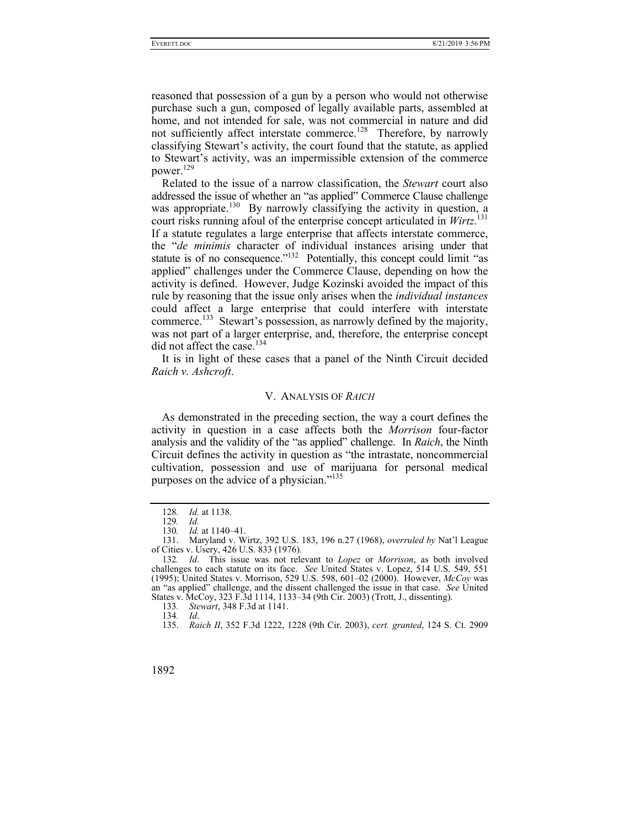reasoned that possession of a gun by a person who would not otherwise purchase such a gun, composed of legally available parts, assembled at home, and not intended for sale, was not commercial in nature and did not sufficiently affect interstate commerce.<sup>128</sup> Therefore, by narrowly classifying Stewart's activity, the court found that the statute, as applied to Stewart's activity, was an impermissible extension of the commerce power.<sup>129</sup>

Related to the issue of a narrow classification, the *Stewart* court also addressed the issue of whether an "as applied" Commerce Clause challenge was appropriate.<sup>130</sup> By narrowly classifying the activity in question, a court risks running afoul of the enterprise concept articulated in *Wirtz*. 131 If a statute regulates a large enterprise that affects interstate commerce, the "*de minimis* character of individual instances arising under that statute is of no consequence."<sup>132</sup> Potentially, this concept could limit "as applied" challenges under the Commerce Clause, depending on how the activity is defined. However, Judge Kozinski avoided the impact of this rule by reasoning that the issue only arises when the *individual instances* could affect a large enterprise that could interfere with interstate commerce.<sup>133</sup> Stewart's possession, as narrowly defined by the majority, was not part of a larger enterprise, and, therefore, the enterprise concept did not affect the case.<sup>134</sup>

It is in light of these cases that a panel of the Ninth Circuit decided *Raich v. Ashcroft*.

## V. ANALYSIS OF *RAICH*

As demonstrated in the preceding section, the way a court defines the activity in question in a case affects both the *Morrison* four-factor analysis and the validity of the "as applied" challenge. In *Raich*, the Ninth Circuit defines the activity in question as "the intrastate, noncommercial cultivation, possession and use of marijuana for personal medical purposes on the advice of a physician."<sup>135</sup>

133*. Stewart*, 348 F.3d at 1141.

134*. Id*.

<sup>128</sup>*. Id.* at 1138.

<sup>129</sup>*. Id.*

<sup>130</sup>*. Id.* at 1140–41.

 <sup>131.</sup> Maryland v. Wirtz, 392 U.S. 183, 196 n.27 (1968), *overruled by* Nat'l League of Cities v. Usery, 426 U.S. 833 (1976).

<sup>132</sup>*. Id*. This issue was not relevant to *Lopez* or *Morrison*, as both involved challenges to each statute on its face. *See* United States v. Lopez, 514 U.S. 549, 551 (1995); United States v. Morrison, 529 U.S. 598, 601–02 (2000). However, *McCoy* was an "as applied" challenge, and the dissent challenged the issue in that case. *See* United States v. McCoy, 323 F.3d 1114, 1133–34 (9th Cir. 2003) (Trott, J., dissenting).

 <sup>135.</sup> *Raich II*, 352 F.3d 1222, 1228 (9th Cir. 2003), *cert. granted*, 124 S. Ct. 2909

<sup>1892</sup>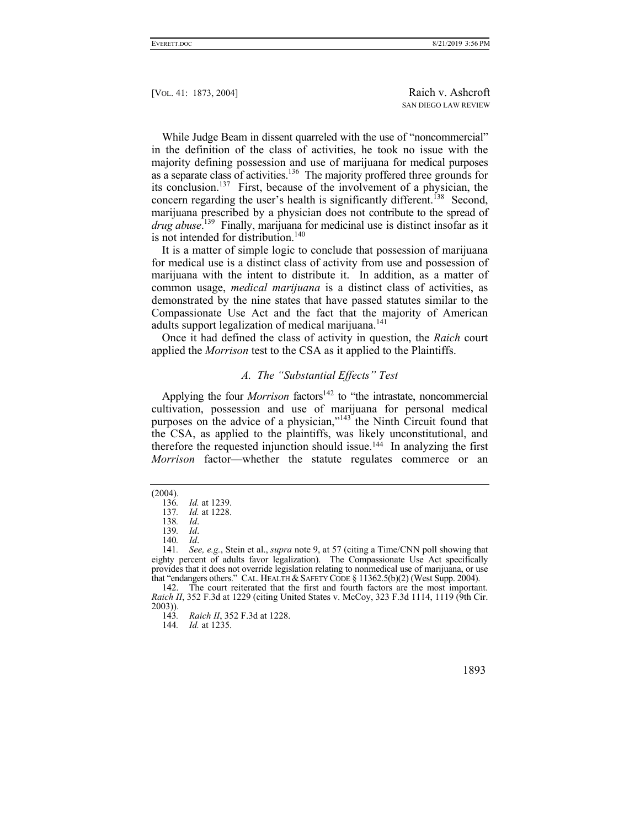While Judge Beam in dissent quarreled with the use of "noncommercial" in the definition of the class of activities, he took no issue with the majority defining possession and use of marijuana for medical purposes as a separate class of activities.136 The majority proffered three grounds for its conclusion.137 First, because of the involvement of a physician, the concern regarding the user's health is significantly different.<sup>138</sup> Second, marijuana prescribed by a physician does not contribute to the spread of *drug abuse*. 139 Finally, marijuana for medicinal use is distinct insofar as it is not intended for distribution.<sup>140</sup>

It is a matter of simple logic to conclude that possession of marijuana for medical use is a distinct class of activity from use and possession of marijuana with the intent to distribute it. In addition, as a matter of common usage, *medical marijuana* is a distinct class of activities, as demonstrated by the nine states that have passed statutes similar to the Compassionate Use Act and the fact that the majority of American adults support legalization of medical marijuana.<sup>141</sup>

Once it had defined the class of activity in question, the *Raich* court applied the *Morrison* test to the CSA as it applied to the Plaintiffs.

## *A. The "Substantial Effects" Test*

Applying the four *Morrison* factors<sup>142</sup> to "the intrastate, noncommercial cultivation, possession and use of marijuana for personal medical purposes on the advice of a physician,"143 the Ninth Circuit found that the CSA, as applied to the plaintiffs, was likely unconstitutional, and therefore the requested injunction should issue.144 In analyzing the first *Morrison* factor—whether the statute regulates commerce or an

(2004).

 142. The court reiterated that the first and fourth factors are the most important. *Raich II*, 352 F.3d at 1229 (citing United States v. McCoy, 323 F.3d 1114, 1119 (9th Cir.  $2003$ )).<br>143.

144*. Id.* at 1235.

<sup>136</sup>*. Id.* at 1239.

<sup>137</sup>*. Id.* at 1228.

<sup>138</sup>*. Id*.

<sup>139</sup>*. Id*.

<sup>140</sup>*. Id*.

<sup>141</sup>*. See, e.g.*, Stein et al., *supra* note 9, at 57 (citing a Time/CNN poll showing that eighty percent of adults favor legalization). The Compassionate Use Act specifically provides that it does not override legislation relating to nonmedical use of marijuana, or use that "endangers others." CAL. HEALTH & SAFETY CODE  $\S 11362.5(b)(2)$  (West Supp. 2004).

<sup>143</sup>*. Raich II*, 352 F.3d at 1228.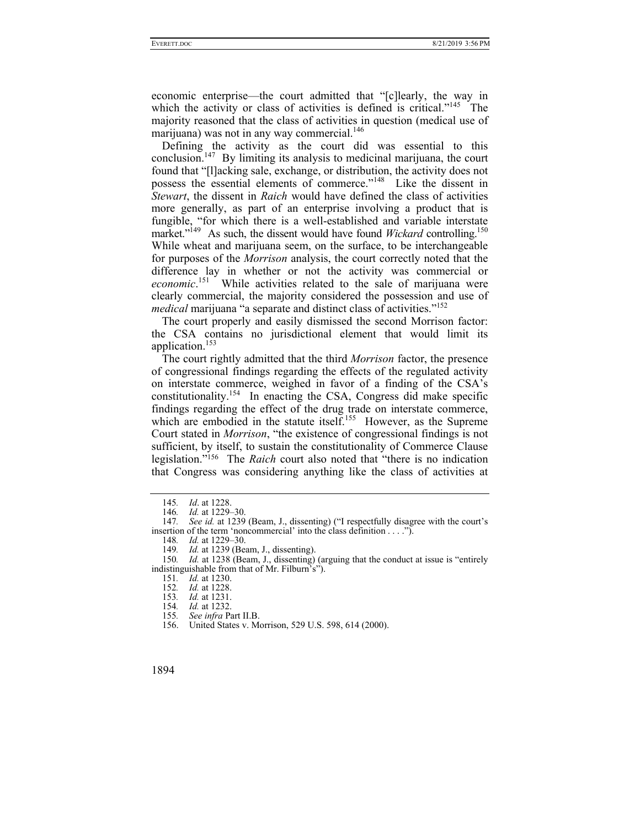economic enterprise—the court admitted that "[c]learly, the way in which the activity or class of activities is defined is critical."<sup>145</sup> The majority reasoned that the class of activities in question (medical use of marijuana) was not in any way commercial.<sup>146</sup>

Defining the activity as the court did was essential to this conclusion.<sup>147</sup> By limiting its analysis to medicinal marijuana, the court found that "[l]acking sale, exchange, or distribution, the activity does not possess the essential elements of commerce."148 Like the dissent in *Stewart*, the dissent in *Raich* would have defined the class of activities more generally, as part of an enterprise involving a product that is fungible, "for which there is a well-established and variable interstate market."<sup>149</sup> As such, the dissent would have found *Wickard* controlling.<sup>150</sup> While wheat and marijuana seem, on the surface, to be interchangeable for purposes of the *Morrison* analysis, the court correctly noted that the difference lay in whether or not the activity was commercial or economic.<sup>151</sup> While activities related to the sale of marijuana were clearly commercial, the majority considered the possession and use of *medical* marijuana "a separate and distinct class of activities."<sup>152</sup>

The court properly and easily dismissed the second Morrison factor: the CSA contains no jurisdictional element that would limit its application.153

The court rightly admitted that the third *Morrison* factor, the presence of congressional findings regarding the effects of the regulated activity on interstate commerce, weighed in favor of a finding of the CSA's constitutionality.<sup>154</sup> In enacting the CSA, Congress did make specific findings regarding the effect of the drug trade on interstate commerce, which are embodied in the statute itself.<sup>155</sup> However, as the Supreme Court stated in *Morrison*, "the existence of congressional findings is not sufficient, by itself, to sustain the constitutionality of Commerce Clause legislation."156 The *Raich* court also noted that "there is no indication that Congress was considering anything like the class of activities at

<sup>145</sup>*. Id*. at 1228. 146*. Id.* at 1229–30.

<sup>147</sup>*. See id.* at 1239 (Beam, J., dissenting) ("I respectfully disagree with the court's insertion of the term 'noncommercial' into the class definition  $\dots$ .").

<sup>148</sup>*. Id.* at 1229–30.

<sup>149</sup>*. Id.* at 1239 (Beam, J., dissenting).

<sup>150</sup>*. Id.* at 1238 (Beam, J., dissenting) (arguing that the conduct at issue is "entirely indistinguishable from that of Mr. Filburn's").

<sup>151</sup>*. Id.* at 1230.

<sup>152</sup>*. Id.* at 1228.

<sup>153</sup>*. Id.* at 1231.

<sup>154</sup>*. Id.* at 1232. 155*. See infra* Part II.B.

 <sup>156.</sup> United States v. Morrison, 529 U.S. 598, 614 (2000).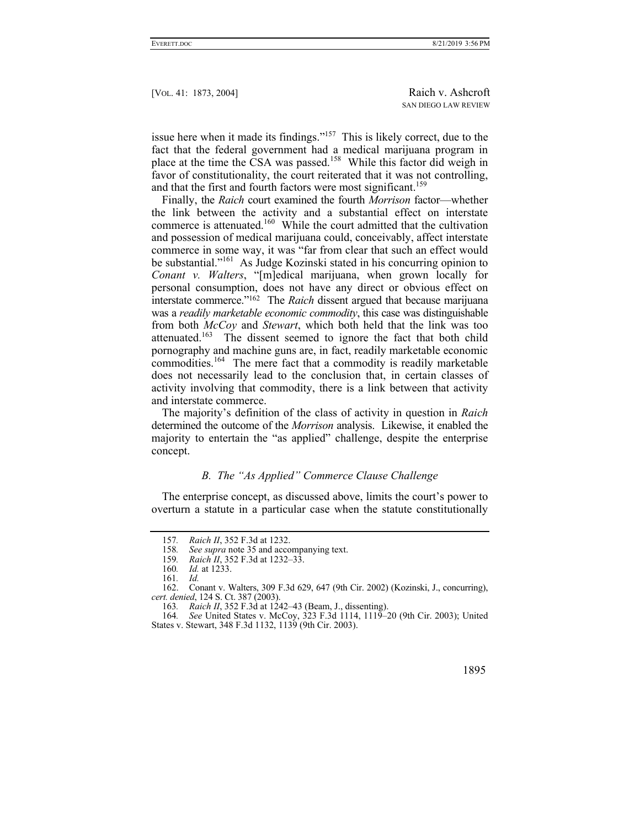issue here when it made its findings."157 This is likely correct, due to the fact that the federal government had a medical marijuana program in place at the time the  $\overline{CS}A$  was passed.<sup>158</sup> While this factor did weigh in favor of constitutionality, the court reiterated that it was not controlling, and that the first and fourth factors were most significant.<sup>159</sup>

Finally, the *Raich* court examined the fourth *Morrison* factor—whether the link between the activity and a substantial effect on interstate commerce is attenuated.160 While the court admitted that the cultivation and possession of medical marijuana could, conceivably, affect interstate commerce in some way, it was "far from clear that such an effect would be substantial."161 As Judge Kozinski stated in his concurring opinion to *Conant v. Walters*, "[m]edical marijuana, when grown locally for personal consumption, does not have any direct or obvious effect on interstate commerce."162 The *Raich* dissent argued that because marijuana was a *readily marketable economic commodity*, this case was distinguishable from both *McCoy* and *Stewart*, which both held that the link was too attenuated.<sup>163</sup> The dissent seemed to ignore the fact that both child pornography and machine guns are, in fact, readily marketable economic commodities.<sup>164</sup> The mere fact that a commodity is readily marketable does not necessarily lead to the conclusion that, in certain classes of activity involving that commodity, there is a link between that activity and interstate commerce.

The majority's definition of the class of activity in question in *Raich* determined the outcome of the *Morrison* analysis. Likewise, it enabled the majority to entertain the "as applied" challenge, despite the enterprise concept.

# *B. The "As Applied" Commerce Clause Challenge*

The enterprise concept, as discussed above, limits the court's power to overturn a statute in a particular case when the statute constitutionally

<sup>164</sup>*. See* United States v. McCoy, 323 F.3d 1114, 1119–20 (9th Cir. 2003); United States v. Stewart, 348 F.3d 1132, 1139 (9th Cir. 2003).



<sup>157</sup>*. Raich II*, 352 F.3d at 1232.

<sup>158.</sup> See supra note 35 and accompanying text.<br>159. Raich II, 352 F.3d at 1232–33.

*Raich II*, 352 F.3d at 1232–33.

<sup>160</sup>*. Id.* at 1233.

<sup>161</sup>*. Id.*

 <sup>162.</sup> Conant v. Walters, 309 F.3d 629, 647 (9th Cir. 2002) (Kozinski, J., concurring), *cert. denied*, 124 S. Ct. 387 (2003).

<sup>163</sup>*. Raich II*, 352 F.3d at 1242–43 (Beam, J., dissenting).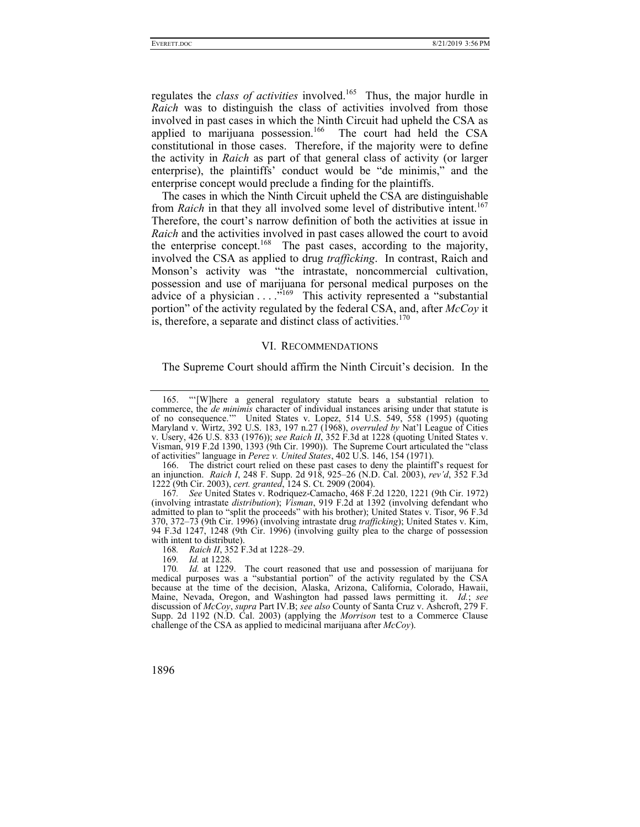regulates the *class of activities* involved.165 Thus, the major hurdle in *Raich* was to distinguish the class of activities involved from those involved in past cases in which the Ninth Circuit had upheld the CSA as applied to marijuana possession.<sup>166</sup> The court had held the CSA constitutional in those cases. Therefore, if the majority were to define the activity in *Raich* as part of that general class of activity (or larger enterprise), the plaintiffs' conduct would be "de minimis," and the enterprise concept would preclude a finding for the plaintiffs.

The cases in which the Ninth Circuit upheld the CSA are distinguishable from *Raich* in that they all involved some level of distributive intent.<sup>167</sup> Therefore, the court's narrow definition of both the activities at issue in *Raich* and the activities involved in past cases allowed the court to avoid the enterprise concept.<sup>168</sup> The past cases, according to the majority, involved the CSA as applied to drug *trafficking*. In contrast, Raich and Monson's activity was "the intrastate, noncommercial cultivation, possession and use of marijuana for personal medical purposes on the advice of a physician . . . .<sup>"169</sup> This activity represented a "substantial" portion" of the activity regulated by the federal CSA, and, after *McCoy* it is, therefore, a separate and distinct class of activities. $170$ 

#### VI. RECOMMENDATIONS

The Supreme Court should affirm the Ninth Circuit's decision. In the

 <sup>165. &</sup>quot;'[W]here a general regulatory statute bears a substantial relation to commerce, the *de minimis* character of individual instances arising under that statute is of no consequence.'" United States v. Lopez, 514 U.S. 549, 558 (1995) (quoting Maryland v. Wirtz, 392 U.S. 183, 197 n.27 (1968), *overruled by* Nat'l League of Cities v. Usery, 426 U.S. 833 (1976)); *see Raich II*, 352 F.3d at 1228 (quoting United States v. Visman, 919 F.2d 1390, 1393 (9th Cir. 1990)). The Supreme Court articulated the "class of activities" language in *Perez v. United States*, 402 U.S. 146, 154 (1971).

 <sup>166.</sup> The district court relied on these past cases to deny the plaintiff's request for an injunction. *Raich I*, 248 F. Supp. 2d 918, 925–26 (N.D. Cal. 2003), *rev'd*, 352 F.3d 1222 (9th Cir. 2003), *cert. granted*, 124 S. Ct. 2909 (2004).

<sup>167</sup>*. See* United States v. Rodriquez-Camacho, 468 F.2d 1220, 1221 (9th Cir. 1972) (involving intrastate *distribution*); *Visman*, 919 F.2d at 1392 (involving defendant who admitted to plan to "split the proceeds" with his brother); United States v. Tisor, 96 F.3d 370, 372–73 (9th Cir. 1996) (involving intrastate drug *trafficking*); United States v. Kim, 94 F.3d 1247, 1248 (9th Cir. 1996) (involving guilty plea to the charge of possession with intent to distribute).

<sup>168</sup>*. Raich II*, 352 F.3d at 1228–29.

<sup>169</sup>*. Id.* at 1228.

<sup>170</sup>*. Id.* at 1229. The court reasoned that use and possession of marijuana for medical purposes was a "substantial portion" of the activity regulated by the CSA because at the time of the decision, Alaska, Arizona, California, Colorado, Hawaii, Maine, Nevada, Oregon, and Washington had passed laws permitting it. *Id.*; *see*  discussion of *McCoy*, *supra* Part IV.B; *see also* County of Santa Cruz v. Ashcroft, 279 F. Supp. 2d 1192 (N.D. Cal. 2003) (applying the *Morrison* test to a Commerce Clause challenge of the CSA as applied to medicinal marijuana after *McCoy*).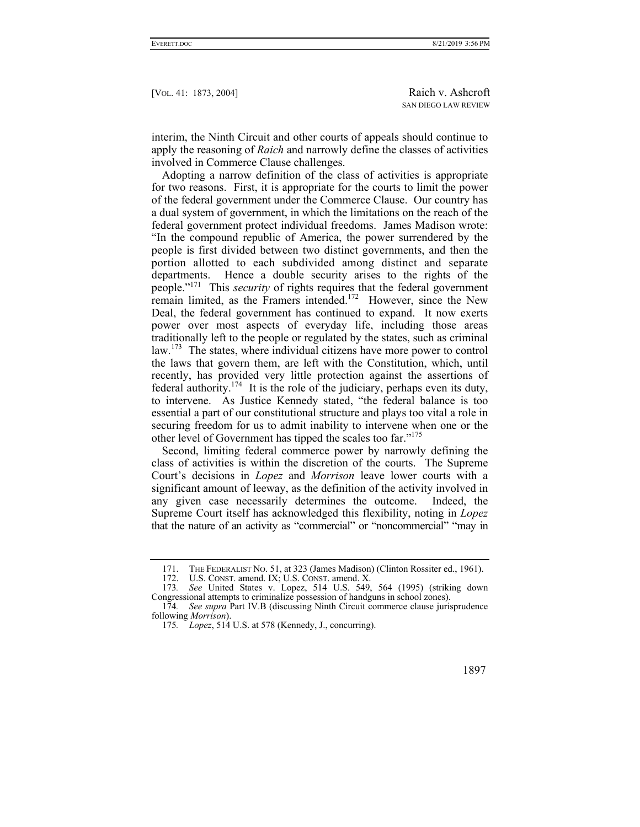interim, the Ninth Circuit and other courts of appeals should continue to apply the reasoning of *Raich* and narrowly define the classes of activities involved in Commerce Clause challenges.

Adopting a narrow definition of the class of activities is appropriate for two reasons. First, it is appropriate for the courts to limit the power of the federal government under the Commerce Clause. Our country has a dual system of government, in which the limitations on the reach of the federal government protect individual freedoms. James Madison wrote: "In the compound republic of America, the power surrendered by the people is first divided between two distinct governments, and then the portion allotted to each subdivided among distinct and separate departments. Hence a double security arises to the rights of the people."171 This *security* of rights requires that the federal government remain limited, as the Framers intended.<sup>172</sup> However, since the New Deal, the federal government has continued to expand. It now exerts power over most aspects of everyday life, including those areas traditionally left to the people or regulated by the states, such as criminal law.<sup>173</sup> The states, where individual citizens have more power to control the laws that govern them, are left with the Constitution, which, until recently, has provided very little protection against the assertions of federal authority.<sup>174</sup> It is the role of the judiciary, perhaps even its duty, to intervene. As Justice Kennedy stated, "the federal balance is too essential a part of our constitutional structure and plays too vital a role in securing freedom for us to admit inability to intervene when one or the other level of Government has tipped the scales too far."<sup>175</sup>

Second, limiting federal commerce power by narrowly defining the class of activities is within the discretion of the courts. The Supreme Court's decisions in *Lopez* and *Morrison* leave lower courts with a significant amount of leeway, as the definition of the activity involved in any given case necessarily determines the outcome. Indeed, the Supreme Court itself has acknowledged this flexibility, noting in *Lopez* that the nature of an activity as "commercial" or "noncommercial" "may in

<sup>171.</sup> THE FEDERALIST NO. 51, at 323 (James Madison) (Clinton Rossiter ed., 1961).<br>172. U.S. CONST. amend. IX; U.S. CONST. amend. X.

U.S. CONST. amend. IX; U.S. CONST. amend. X.

<sup>173</sup>*. See* United States v. Lopez, 514 U.S. 549, 564 (1995) (striking down Congressional attempts to criminalize possession of handguns in school zones).

<sup>174</sup>*. See supra* Part IV.B (discussing Ninth Circuit commerce clause jurisprudence following *Morrison*).

<sup>175</sup>*. Lopez*, 514 U.S. at 578 (Kennedy, J., concurring).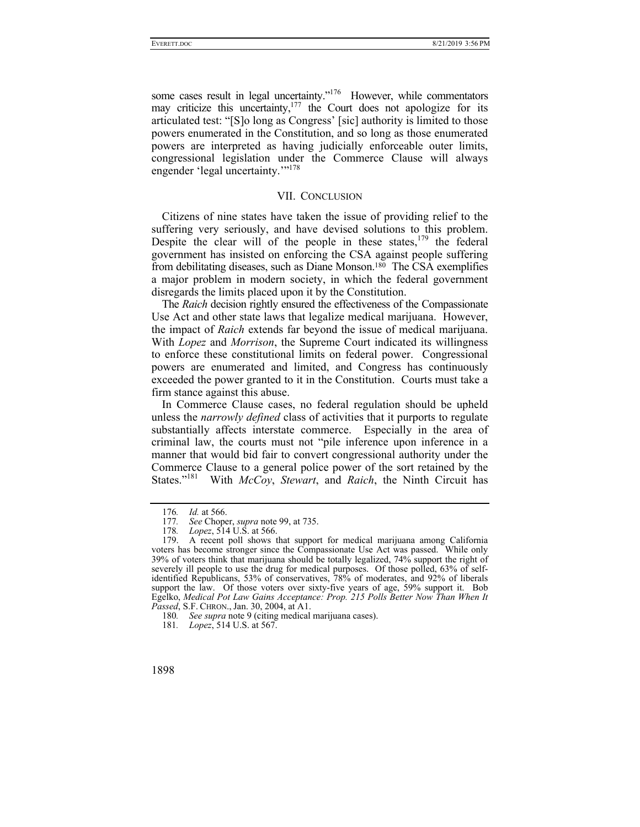some cases result in legal uncertainty."<sup>176</sup> However, while commentators may criticize this uncertainty,  $177$  the Court does not apologize for its articulated test: "[S]o long as Congress' [sic] authority is limited to those powers enumerated in the Constitution, and so long as those enumerated powers are interpreted as having judicially enforceable outer limits, congressional legislation under the Commerce Clause will always engender 'legal uncertainty.""<sup>178</sup>

## VII. CONCLUSION

Citizens of nine states have taken the issue of providing relief to the suffering very seriously, and have devised solutions to this problem. Despite the clear will of the people in these states,  $179$  the federal government has insisted on enforcing the CSA against people suffering from debilitating diseases, such as Diane Monson.180 The CSA exemplifies a major problem in modern society, in which the federal government disregards the limits placed upon it by the Constitution.

The *Raich* decision rightly ensured the effectiveness of the Compassionate Use Act and other state laws that legalize medical marijuana. However, the impact of *Raich* extends far beyond the issue of medical marijuana. With *Lopez* and *Morrison*, the Supreme Court indicated its willingness to enforce these constitutional limits on federal power. Congressional powers are enumerated and limited, and Congress has continuously exceeded the power granted to it in the Constitution. Courts must take a firm stance against this abuse.

In Commerce Clause cases, no federal regulation should be upheld unless the *narrowly defined* class of activities that it purports to regulate substantially affects interstate commerce. Especially in the area of criminal law, the courts must not "pile inference upon inference in a manner that would bid fair to convert congressional authority under the Commerce Clause to a general police power of the sort retained by the States."181 With *McCoy*, *Stewart*, and *Raich*, the Ninth Circuit has

<sup>176</sup>*. Id.* at 566.

<sup>177</sup>*. See* Choper, *supra* note 99, at 735.

<sup>178</sup>*. Lopez*, 514 U.S. at 566.

<sup>179.</sup> A recent poll shows that support for medical marijuana among California voters has become stronger since the Compassionate Use Act was passed. While only 39% of voters think that marijuana should be totally legalized, 74% support the right of severely ill people to use the drug for medical purposes. Of those polled, 63% of selfidentified Republicans, 53% of conservatives, 78% of moderates, and 92% of liberals support the law. Of those voters over sixty-five years of age, 59% support it. Bob Egelko, *Medical Pot Law Gains Acceptance: Prop. 215 Polls Better Now Than When It Passed*, S.F. CHRON., Jan. 30, 2004, at A1.

<sup>180</sup>*. See supra* note 9 (citing medical marijuana cases).

<sup>181</sup>*. Lopez*, 514 U.S. at 567.

<sup>1898</sup>